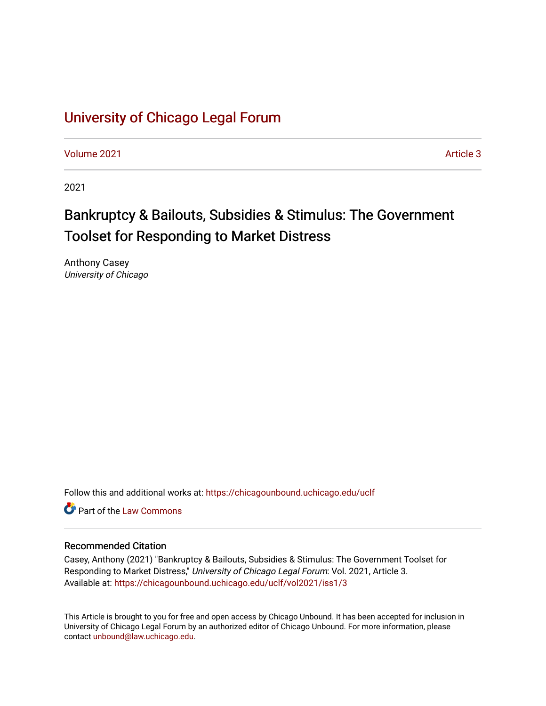# [University of Chicago Legal Forum](https://chicagounbound.uchicago.edu/uclf)

[Volume 2021](https://chicagounbound.uchicago.edu/uclf/vol2021) **Article 3** Article 3

2021

# Bankruptcy & Bailouts, Subsidies & Stimulus: The Government Toolset for Responding to Market Distress

Anthony Casey University of Chicago

Follow this and additional works at: [https://chicagounbound.uchicago.edu/uclf](https://chicagounbound.uchicago.edu/uclf?utm_source=chicagounbound.uchicago.edu%2Fuclf%2Fvol2021%2Fiss1%2F3&utm_medium=PDF&utm_campaign=PDFCoverPages) 

**C** Part of the [Law Commons](https://network.bepress.com/hgg/discipline/578?utm_source=chicagounbound.uchicago.edu%2Fuclf%2Fvol2021%2Fiss1%2F3&utm_medium=PDF&utm_campaign=PDFCoverPages)

## Recommended Citation

Casey, Anthony (2021) "Bankruptcy & Bailouts, Subsidies & Stimulus: The Government Toolset for Responding to Market Distress," University of Chicago Legal Forum: Vol. 2021, Article 3. Available at: [https://chicagounbound.uchicago.edu/uclf/vol2021/iss1/3](https://chicagounbound.uchicago.edu/uclf/vol2021/iss1/3?utm_source=chicagounbound.uchicago.edu%2Fuclf%2Fvol2021%2Fiss1%2F3&utm_medium=PDF&utm_campaign=PDFCoverPages) 

This Article is brought to you for free and open access by Chicago Unbound. It has been accepted for inclusion in University of Chicago Legal Forum by an authorized editor of Chicago Unbound. For more information, please contact [unbound@law.uchicago.edu](mailto:unbound@law.uchicago.edu).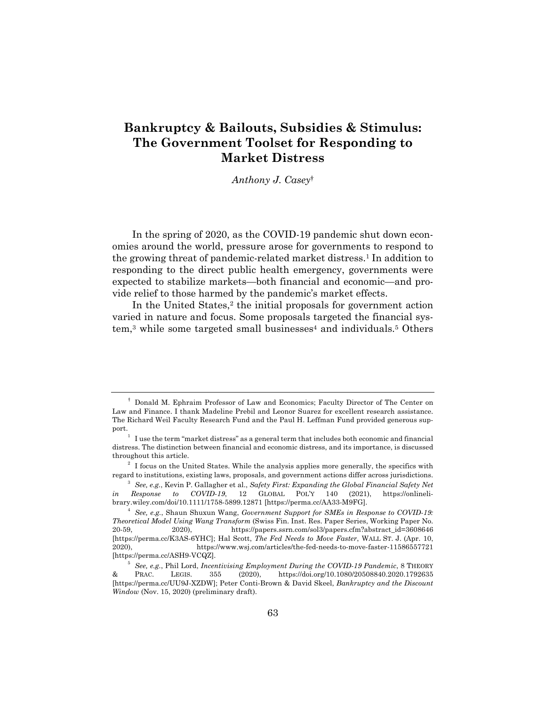## **Bankruptcy & Bailouts, Subsidies & Stimulus: The Government Toolset for Responding to Market Distress**

*Anthony J. Casey*†

In the spring of 2020, as the COVID-19 pandemic shut down economies around the world, pressure arose for governments to respond to the growing threat of pandemic-related market distress.<sup>1</sup> In addition to responding to the direct public health emergency, governments were expected to stabilize markets—both financial and economic—and provide relief to those harmed by the pandemic's market effects.

In the United States,<sup>2</sup> the initial proposals for government action varied in nature and focus. Some proposals targeted the financial system,<sup>3</sup> while some targeted small businesses<sup>4</sup> and individuals.<sup>5</sup> Others

<sup>†</sup> Donald M. Ephraim Professor of Law and Economics; Faculty Director of The Center on Law and Finance. I thank Madeline Prebil and Leonor Suarez for excellent research assistance. The Richard Weil Faculty Research Fund and the Paul H. Leffman Fund provided generous support.<br><sup>1</sup> I use the term "market distress" as a general term that includes both economic and financial

distress. The distinction between financial and economic distress, and its importance, is discussed throughout this article.

 $2\,$  I focus on the United States. While the analysis applies more generally, the specifics with regard to institutions, existing laws, proposals, and government actions differ across jurisdictions.

<sup>3</sup> *See, e.g.*, Kevin P. Gallagher et al., *Safety First: Expanding the Global Financial Safety Net in Response to COVID-19*, 12 GLOBAL POL'Y 140 (2021), https://onlinelibrary.wiley.com/doi/10.1111/1758-5899.12871 [https://perma.cc/AA33-M9FG].

<sup>4</sup> *See, e.g.*, Shaun Shuxun Wang, *Government Support for SMEs in Response to COVID-19: Theoretical Model Using Wang Transform* (Swiss Fin. Inst. Res. Paper Series, Working Paper No. 20-59, 2020), https://papers.ssrn.com/sol3/papers.cfm?abstract\_id=3608646 [https://perma.cc/K3AS-6YHC]; Hal Scott, *The Fed Needs to Move Faster*, WALL ST. J. (Apr. 10, 2020), https://www.wsj.com/articles/the-fed-needs-to-move-faster-11586557721 [https://perma.cc/ASH9-VCQZ].

<sup>5</sup> *See, e.g.*, Phil Lord, *Incentivising Employment During the COVID-19 Pandemic*, 8 THEORY & PRAC. LEGIS. 355 (2020), https://doi.org/10.1080/20508840.2020.1792635 [https://perma.cc/UU9J-XZDW]; Peter Conti-Brown & David Skeel, *Bankruptcy and the Discount Window* (Nov. 15, 2020) (preliminary draft).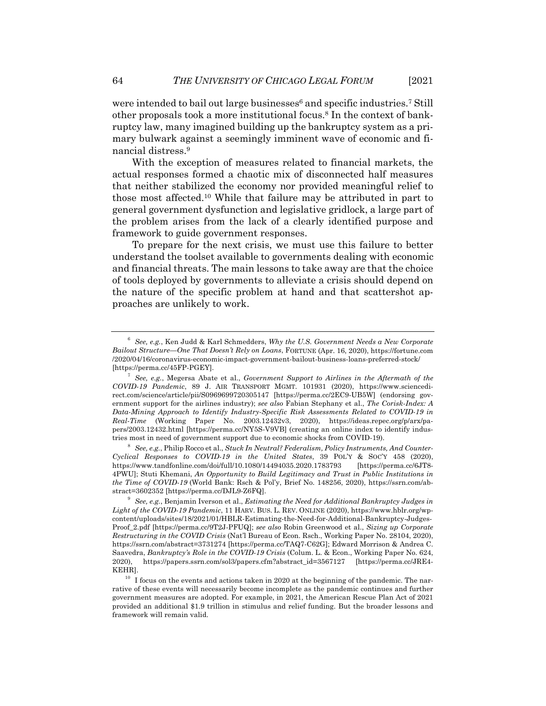were intended to bail out large businesses<sup>6</sup> and specific industries.<sup>7</sup> Still other proposals took a more institutional focus.8 In the context of bankruptcy law, many imagined building up the bankruptcy system as a primary bulwark against a seemingly imminent wave of economic and financial distress.9

With the exception of measures related to financial markets, the actual responses formed a chaotic mix of disconnected half measures that neither stabilized the economy nor provided meaningful relief to those most affected.10 While that failure may be attributed in part to general government dysfunction and legislative gridlock, a large part of the problem arises from the lack of a clearly identified purpose and framework to guide government responses.

To prepare for the next crisis, we must use this failure to better understand the toolset available to governments dealing with economic and financial threats. The main lessons to take away are that the choice of tools deployed by governments to alleviate a crisis should depend on the nature of the specific problem at hand and that scattershot approaches are unlikely to work.

<sup>6</sup> *See, e.g.*, Ken Judd & Karl Schmedders, *Why the U.S. Government Needs a New Corporate Bailout Structure—One That Doesn't Rely on Loans*, FORTUNE (Apr. 16, 2020), https://fortune.com /2020/04/16/coronavirus-economic-impact-government-bailout-business-loans-preferred-stock/ [https://perma.cc/45FP-PGEY].

<sup>7</sup> *See, e.g.*, Megersa Abate et al., *Government Support to Airlines in the Aftermath of the COVID-19 Pandemic*, 89 J. AIR TRANSPORT MGMT. 101931 (2020), https://www.sciencedirect.com/science/article/pii/S0969699720305147 [https://perma.cc/2EC9-UB5W] (endorsing government support for the airlines industry); *see also* Fabian Stephany et al., *The Corisk-Index: A Data-Mining Approach to Identify Industry-Specific Risk Assessments Related to COVID-19 in Real-Time* (Working Paper No. 2003.12432v3, 2020), https://ideas.repec.org/p/arx/papers/2003.12432.html [https://perma.cc/NY5S-V9VB] (creating an online index to identify industries most in need of government support due to economic shocks from COVID-19).

<sup>8</sup> *See, e.g.*, Philip Rocco et al., *Stuck In Neutral? Federalism, Policy Instruments, And Counter-Cyclical Responses to COVID-19 in the United States*, 39 POL'Y & SOC'Y 458 (2020), https://www.tandfonline.com/doi/full/10.1080/14494035.2020.1783793 [https://perma.cc/6JT8- 4PWU]; Stuti Khemani, *An Opportunity to Build Legitimacy and Trust in Public Institutions in the Time of COVID-19* (World Bank: Rsch & Pol'y, Brief No. 148256, 2020), https://ssrn.com/abstract=3602352 [https://perma.cc/DJL9-Z6FQ].

<sup>9</sup> *See, e.g.*, Benjamin Iverson et al., *Estimating the Need for Additional Bankruptcy Judges in Light of the COVID-19 Pandemic*, 11 HARV. BUS. L. REV. ONLINE (2020), https://www.hblr.org/wpcontent/uploads/sites/18/2021/01/HBLR-Estimating-the-Need-for-Additional-Bankruptcy-Judges-Proof\_2.pdf [https://perma.cc/9T2J-PFUQ]; *see also* Robin Greenwood et al., *Sizing up Corporate Restructuring in the COVID Crisis* (Nat'l Bureau of Econ. Rsch., Working Paper No. 28104, 2020), https://ssrn.com/abstract=3731274 [https://perma.cc/TAQ7-C62G]; Edward Morrison & Andrea C. Saavedra, *Bankruptcy's Role in the COVID-19 Crisis* (Colum. L. & Econ., Working Paper No. 624, 2020), https://papers.ssrn.com/sol3/papers.cfm?abstract\_id=3567127 [https://perma.cc/JRE4- KEHR].

 $10$  I focus on the events and actions taken in 2020 at the beginning of the pandemic. The narrative of these events will necessarily become incomplete as the pandemic continues and further government measures are adopted. For example, in 2021, the American Rescue Plan Act of 2021 provided an additional \$1.9 trillion in stimulus and relief funding. But the broader lessons and framework will remain valid.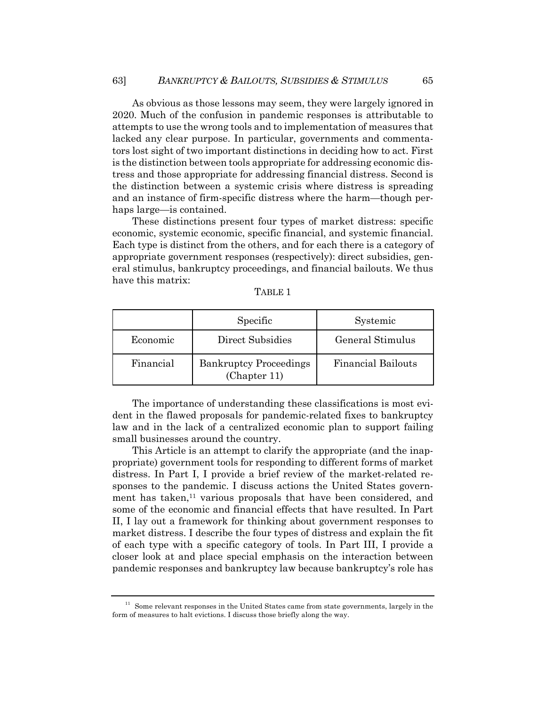As obvious as those lessons may seem, they were largely ignored in 2020. Much of the confusion in pandemic responses is attributable to attempts to use the wrong tools and to implementation of measures that lacked any clear purpose. In particular, governments and commentators lost sight of two important distinctions in deciding how to act. First is the distinction between tools appropriate for addressing economic distress and those appropriate for addressing financial distress. Second is the distinction between a systemic crisis where distress is spreading and an instance of firm-specific distress where the harm—though perhaps large—is contained.

These distinctions present four types of market distress: specific economic, systemic economic, specific financial, and systemic financial. Each type is distinct from the others, and for each there is a category of appropriate government responses (respectively): direct subsidies, general stimulus, bankruptcy proceedings, and financial bailouts. We thus have this matrix:

|           | Specific                                      | Systemic                  |
|-----------|-----------------------------------------------|---------------------------|
| Economic  | Direct Subsidies                              | General Stimulus          |
| Financial | <b>Bankruptcy Proceedings</b><br>(Chapter 11) | <b>Financial Bailouts</b> |

| ABL.<br> |  |
|----------|--|
|----------|--|

The importance of understanding these classifications is most evident in the flawed proposals for pandemic-related fixes to bankruptcy law and in the lack of a centralized economic plan to support failing small businesses around the country.

This Article is an attempt to clarify the appropriate (and the inappropriate) government tools for responding to different forms of market distress. In Part I, I provide a brief review of the market-related responses to the pandemic. I discuss actions the United States government has taken, $<sup>11</sup>$  various proposals that have been considered, and</sup> some of the economic and financial effects that have resulted. In Part II, I lay out a framework for thinking about government responses to market distress. I describe the four types of distress and explain the fit of each type with a specific category of tools. In Part III, I provide a closer look at and place special emphasis on the interaction between pandemic responses and bankruptcy law because bankruptcy's role has

 $11$  Some relevant responses in the United States came from state governments, largely in the form of measures to halt evictions. I discuss those briefly along the way.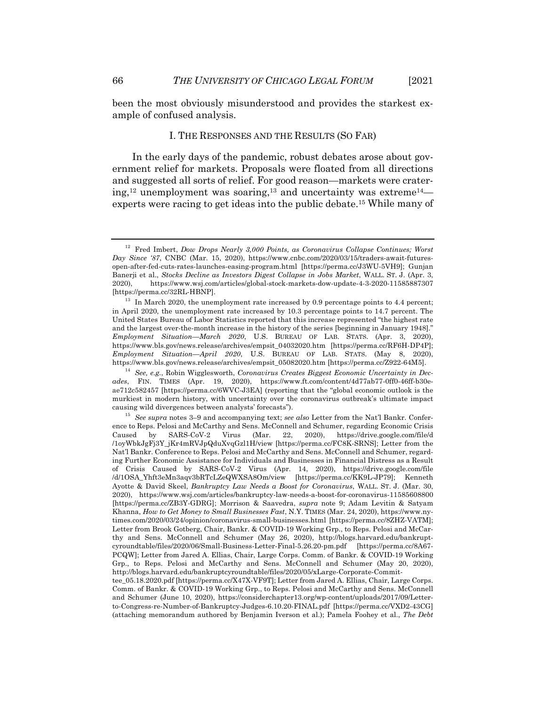been the most obviously misunderstood and provides the starkest example of confused analysis.

#### I. THE RESPONSES AND THE RESULTS (SO FAR)

In the early days of the pandemic, robust debates arose about government relief for markets. Proposals were floated from all directions and suggested all sorts of relief. For good reason—markets were cratering,<sup>12</sup> unemployment was soaring,<sup>13</sup> and uncertainty was extreme<sup>14</sup> experts were racing to get ideas into the public debate.15 While many of

<sup>12</sup> Fred Imbert, *Dow Drops Nearly 3,000 Points, as Coronavirus Collapse Continues; Worst Day Since '87*, CNBC (Mar. 15, 2020), https://www.cnbc.com/2020/03/15/traders-await-futuresopen-after-fed-cuts-rates-launches-easing-program.html [https://perma.cc/J3WU-5VH9]; Gunjan Banerji et al., *Stocks Decline as Investors Digest Collapse in Jobs Market*, WALL. ST. J. (Apr. 3, 2020), https://www.wsj.com/articles/global-stock-markets-dow-update-4-3-2020-11585887307 [https://perma.cc/32RL-HBNP].

 $13$  In March 2020, the unemployment rate increased by 0.9 percentage points to 4.4 percent; in April 2020, the unemployment rate increased by 10.3 percentage points to 14.7 percent. The United States Bureau of Labor Statistics reported that this increase represented "the highest rate and the largest over-the-month increase in the history of the series [beginning in January 1948]." *Employment Situation—March 2020*, U.S. BUREAU OF LAB. STATS. (Apr. 3, 2020), https://www.bls.gov/news.release/archives/empsit\_04032020.htm [https://perma.cc/RF6H-DP4P]; *Employment Situation—April 2020*, U.S. BUREAU OF LAB. STATS. (May 8, 2020), https://www.bls.gov/news.release/archives/empsit\_05082020.htm [https://perma.cc/Z922-64M5].

<sup>14</sup> *See, e.g.*, Robin Wigglesworth, *Coronavirus Creates Biggest Economic Uncertainty in Decades*, FIN. TIMES (Apr. 19, 2020), https://www.ft.com/content/4d77ab77-0ff0-46ff-b30eae712c582457 [https://perma.cc/6WVC-J3EA] (reporting that the "global economic outlook is the murkiest in modern history, with uncertainty over the coronavirus outbreak's ultimate impact causing wild divergences between analysts' forecasts").

<sup>15</sup> *See supra* notes 3–9 and accompanying text; *see also* Letter from the Nat'l Bankr. Conference to Reps. Pelosi and McCarthy and Sens. McConnell and Schumer, regarding Economic Crisis Caused by SARS-CoV-2 Virus (Mar. 22, 2020), https://drive.google.com/file/d /1oyWbkJgFj3Y\_jKr4mRVJpQduXvqGzl1H/view [https://perma.cc/FC8K-SRNS]; Letter from the Nat'l Bankr. Conference to Reps. Pelosi and McCarthy and Sens. McConnell and Schumer, regarding Further Economic Assistance for Individuals and Businesses in Financial Distress as a Result of Crisis Caused by SARS-CoV-2 Virus (Apr. 14, 2020), https://drive.google.com/file /d/1OSA\_Yhft3eMn3aqv3bRTcLZeQWXSA8Om/view [https://perma.cc/KK9L-JP79]; Kenneth Ayotte & David Skeel, *Bankruptcy Law Needs a Boost for Coronavirus*, WALL. ST. J. (Mar. 30, 2020), https://www.wsj.com/articles/bankruptcy-law-needs-a-boost-for-coronavirus-11585608800 [https://perma.cc/ZB3Y-GDRG]; Morrison & Saavedra, *supra* note 9; Adam Levitin & Satyam Khanna, *How to Get Money to Small Businesses Fast*, N.Y. TIMES (Mar. 24, 2020), https://www.nytimes.com/2020/03/24/opinion/coronavirus-small-businesses.html [https://perma.cc/8ZHZ-VATM]; Letter from Brook Gotberg, Chair, Bankr. & COVID-19 Working Grp., to Reps. Pelosi and McCarthy and Sens. McConnell and Schumer (May 26, 2020), http://blogs.harvard.edu/bankruptcyroundtable/files/2020/06/Small-Business-Letter-Final-5.26.20-pm.pdf [https://perma.cc/8A67- PCQW]; Letter from Jared A. Ellias, Chair, Large Corps. Comm. of Bankr. & COVID-19 Working Grp., to Reps. Pelosi and McCarthy and Sens. McConnell and Schumer (May 20, 2020), http://blogs.harvard.edu/bankruptcyroundtable/files/2020/05/xLarge-Corporate-Commit-

tee\_05.18.2020.pdf [https://perma.cc/X47X-VF9T]; Letter from Jared A. Ellias, Chair, Large Corps. Comm. of Bankr. & COVID-19 Working Grp., to Reps. Pelosi and McCarthy and Sens. McConnell and Schumer (June 10, 2020), https://considerchapter13.org/wp-content/uploads/2017/09/Letterto-Congress-re-Number-of-Bankruptcy-Judges-6.10.20-FINAL.pdf [https://perma.cc/VXD2-43CG] (attaching memorandum authored by Benjamin Iverson et al.); Pamela Foohey et al., *The Debt*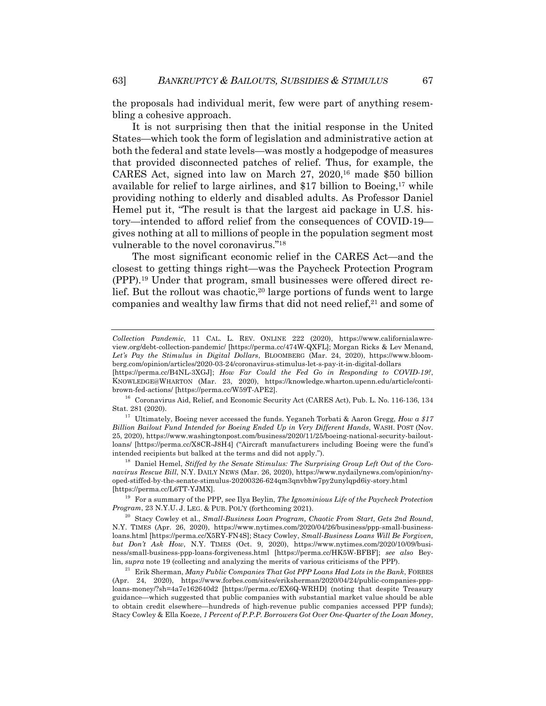the proposals had individual merit, few were part of anything resembling a cohesive approach.

It is not surprising then that the initial response in the United States—which took the form of legislation and administrative action at both the federal and state levels—was mostly a hodgepodge of measures that provided disconnected patches of relief. Thus, for example, the CARES Act, signed into law on March 27, 2020,16 made \$50 billion available for relief to large airlines, and  $$17$  billion to Boeing,<sup>17</sup> while providing nothing to elderly and disabled adults. As Professor Daniel Hemel put it, "The result is that the largest aid package in U.S. history—intended to afford relief from the consequences of COVID-19 gives nothing at all to millions of people in the population segment most vulnerable to the novel coronavirus."18

The most significant economic relief in the CARES Act—and the closest to getting things right—was the Paycheck Protection Program (PPP).19 Under that program, small businesses were offered direct relief. But the rollout was chaotic,<sup>20</sup> large portions of funds went to large companies and wealthy law firms that did not need relief,<sup>21</sup> and some of

*Collection Pandemic*, 11 CAL. L. REV. ONLINE 222 (2020), https://www.californialawreview.org/debt-collection-pandemic/ [https://perma.cc/474W-QXFL]; Morgan Ricks & Lev Menand, *Let's Pay the Stimulus in Digital Dollars*, BLOOMBERG (Mar. 24, 2020), https://www.bloomberg.com/opinion/articles/2020-03-24/coronavirus-stimulus-let-s-pay-it-in-digital-dollars

<sup>[</sup>https://perma.cc/B4NL-3XGJ]; *How Far Could the Fed Go in Responding to COVID-19?*, KNOWLEDGE@WHARTON (Mar. 23, 2020), https://knowledge.wharton.upenn.edu/article/contibrown-fed-actions/ [https://perma.cc/W59T-APE2].

<sup>16</sup> Coronavirus Aid, Relief, and Economic Security Act (CARES Act), Pub. L. No. 116-136, 134 Stat. 281 (2020).

<sup>17</sup> Ultimately, Boeing never accessed the funds. Yeganeh Torbati & Aaron Gregg, *How a \$17 Billion Bailout Fund Intended for Boeing Ended Up in Very Different Hands*, WASH. POST (Nov. 25, 2020), https://www.washingtonpost.com/business/2020/11/25/boeing-national-security-bailoutloans/ [https://perma.cc/X8CR-J8H4] ("Aircraft manufacturers including Boeing were the fund's intended recipients but balked at the terms and did not apply.").

<sup>&</sup>lt;sup>18</sup> Daniel Hemel, *Stiffed by the Senate Stimulus: The Surprising Group Left Out of the Coronavirus Rescue Bill*, N.Y. DAILY NEWS (Mar. 26, 2020), https://www.nydailynews.com/opinion/nyoped-stiffed-by-the-senate-stimulus-20200326-624qm3qnvbhw7py2unylqpd6iy-story.html [https://perma.cc/L6TT-YJMX].

<sup>19</sup> For a summary of the PPP, see Ilya Beylin, *The Ignominious Life of the Paycheck Protection Program*, 23 N.Y.U. J. LEG. & PUB. POL'Y (forthcoming 2021).

<sup>20</sup> Stacy Cowley et al., *Small-Business Loan Program, Chaotic From Start, Gets 2nd Round*, N.Y. TIMES (Apr. 26, 2020), https://www.nytimes.com/2020/04/26/business/ppp-small-businessloans.html [https://perma.cc/X5RY-FN4S]; Stacy Cowley, *Small-Business Loans Will Be Forgiven, but Don't Ask How*, N.Y. TIMES (Oct. 9, 2020), https://www.nytimes.com/2020/10/09/business/small-business-ppp-loans-forgiveness.html [https://perma.cc/HK5W-BFBF]; *see also* Beylin, *supra* note 19 (collecting and analyzing the merits of various criticisms of the PPP).

<sup>21</sup> Erik Sherman, *Many Public Companies That Got PPP Loans Had Lots in the Bank*, FORBES (Apr. 24, 2020), https://www.forbes.com/sites/eriksherman/2020/04/24/public-companies-ppploans-money/?sh=4a7e162640d2 [https://perma.cc/EX6Q-WRHD] (noting that despite Treasury guidance—which suggested that public companies with substantial market value should be able to obtain credit elsewhere—hundreds of high-revenue public companies accessed PPP funds); Stacy Cowley & Ella Koeze, *1 Percent of P.P.P. Borrowers Got Over One-Quarter of the Loan Money*,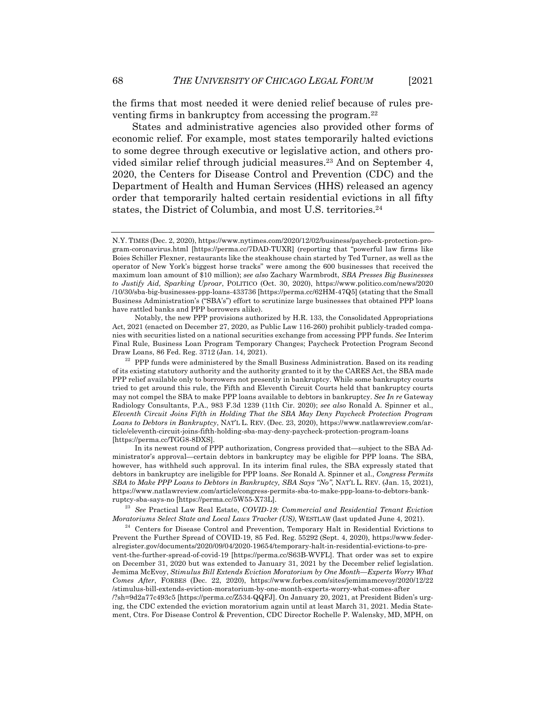the firms that most needed it were denied relief because of rules preventing firms in bankruptcy from accessing the program.<sup>22</sup>

States and administrative agencies also provided other forms of economic relief. For example, most states temporarily halted evictions to some degree through executive or legislative action, and others provided similar relief through judicial measures.23 And on September 4, 2020, the Centers for Disease Control and Prevention (CDC) and the Department of Health and Human Services (HHS) released an agency order that temporarily halted certain residential evictions in all fifty states, the District of Columbia, and most U.S. territories.<sup>24</sup>

Notably, the new PPP provisions authorized by H.R. 133, the Consolidated Appropriations Act, 2021 (enacted on December 27, 2020, as Public Law 116-260) prohibit publicly-traded companies with securities listed on a national securities exchange from accessing PPP funds. *See* Interim Final Rule, Business Loan Program Temporary Changes; Paycheck Protection Program Second Draw Loans, 86 Fed. Reg. 3712 (Jan. 14, 2021).

 $^{22}\,$  PPP funds were administered by the Small Business Administration. Based on its reading of its existing statutory authority and the authority granted to it by the CARES Act, the SBA made PPP relief available only to borrowers not presently in bankruptcy. While some bankruptcy courts tried to get around this rule, the Fifth and Eleventh Circuit Courts held that bankruptcy courts may not compel the SBA to make PPP loans available to debtors in bankruptcy. *See In re* Gateway Radiology Consultants, P.A., 983 F.3d 1239 (11th Cir. 2020); *see also* Ronald A. Spinner et al., *Eleventh Circuit Joins Fifth in Holding That the SBA May Deny Paycheck Protection Program Loans to Debtors in Bankruptcy*, NAT'L L. REV. (Dec. 23, 2020), https://www.natlawreview.com/article/eleventh-circuit-joins-fifth-holding-sba-may-deny-paycheck-protection-program-loans [https://perma.cc/TGG8-8DXS].

In its newest round of PPP authorization, Congress provided that—subject to the SBA Administrator's approval—certain debtors in bankruptcy may be eligible for PPP loans. The SBA, however, has withheld such approval. In its interim final rules, the SBA expressly stated that debtors in bankruptcy are ineligible for PPP loans. *See* Ronald A. Spinner et al., *Congress Permits SBA to Make PPP Loans to Debtors in Bankruptcy, SBA Says "No"*, NAT'L L. REV. (Jan. 15, 2021), https://www.natlawreview.com/article/congress-permits-sba-to-make-ppp-loans-to-debtors-bankruptcy-sba-says-no [https://perma.cc/5W55-X73L].

<sup>23</sup> *See* Practical Law Real Estate, *COVID-19: Commercial and Residential Tenant Eviction Moratoriums Select State and Local Laws Tracker (US)*, WESTLAW (last updated June 4, 2021).

 $24$  Centers for Disease Control and Prevention, Temporary Halt in Residential Evictions to Prevent the Further Spread of COVID-19, 85 Fed. Reg. 55292 (Sept. 4, 2020), https://www.federalregister.gov/documents/2020/09/04/2020-19654/temporary-halt-in-residential-evictions-to-prevent-the-further-spread-of-covid-19 [https://perma.cc/S63B-WVFL]. That order was set to expire on December 31, 2020 but was extended to January 31, 2021 by the December relief legislation. Jemima McEvoy, *Stimulus Bill Extends Eviction Moratorium by One Month—Experts Worry What Comes After*, FORBES (Dec. 22, 2020), https://www.forbes.com/sites/jemimamcevoy/2020/12/22 /stimulus-bill-extends-eviction-moratorium-by-one-month-experts-worry-what-comes-after /?sh=9d2a77c493c5 [https://perma.cc/Z534-QQFJ]. On January 20, 2021, at President Biden's urging, the CDC extended the eviction moratorium again until at least March 31, 2021. Media Statement, Ctrs. For Disease Control & Prevention, CDC Director Rochelle P. Walensky, MD, MPH, on

N.Y. TIMES (Dec. 2, 2020), https://www.nytimes.com/2020/12/02/business/paycheck-protection-program-coronavirus.html [https://perma.cc/7DAD-TUXR] (reporting that "powerful law firms like Boies Schiller Flexner, restaurants like the steakhouse chain started by Ted Turner, as well as the operator of New York's biggest horse tracks" were among the 600 businesses that received the maximum loan amount of \$10 million); *see also* Zachary Warmbrodt, *SBA Presses Big Businesses to Justify Aid, Sparking Uproar*, POLITICO (Oct. 30, 2020), https://www.politico.com/news/2020 /10/30/sba-big-businesses-ppp-loans-433736 [https://perma.cc/62HM-47Q5] (stating that the Small Business Administration's ("SBA's") effort to scrutinize large businesses that obtained PPP loans have rattled banks and PPP borrowers alike).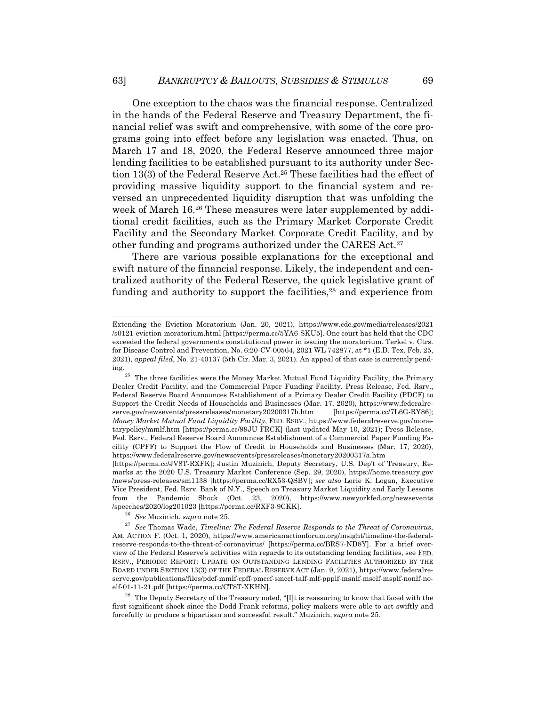One exception to the chaos was the financial response. Centralized in the hands of the Federal Reserve and Treasury Department, the financial relief was swift and comprehensive, with some of the core programs going into effect before any legislation was enacted. Thus, on March 17 and 18, 2020, the Federal Reserve announced three major lending facilities to be established pursuant to its authority under Section 13(3) of the Federal Reserve Act.25 These facilities had the effect of providing massive liquidity support to the financial system and reversed an unprecedented liquidity disruption that was unfolding the week of March 16.<sup>26</sup> These measures were later supplemented by additional credit facilities, such as the Primary Market Corporate Credit Facility and the Secondary Market Corporate Credit Facility, and by other funding and programs authorized under the CARES Act.27

There are various possible explanations for the exceptional and swift nature of the financial response. Likely, the independent and centralized authority of the Federal Reserve, the quick legislative grant of funding and authority to support the facilities,<sup>28</sup> and experience from

Extending the Eviction Moratorium (Jan. 20, 2021), https://www.cdc.gov/media/releases/2021 /s0121-eviction-moratorium.html [https://perma.cc/5YA6-SKU5]. One court has held that the CDC exceeded the federal governments constitutional power in issuing the moratorium. Terkel v. Ctrs. for Disease Control and Prevention, No. 6:20-CV-00564, 2021 WL 742877, at \*1 (E.D. Tex. Feb. 25, 2021), *appeal filed*, No. 21-40137 (5th Cir. Mar. 3, 2021). An appeal of that case is currently pending.<br><sup>25</sup> The three facilities were the Money Market Mutual Fund Liquidity Facility, the Primary

Dealer Credit Facility, and the Commercial Paper Funding Facility. Press Release, Fed. Rsrv., Federal Reserve Board Announces Establishment of a Primary Dealer Credit Facility (PDCF) to Support the Credit Needs of Households and Businesses (Mar. 17, 2020), https://www.federalreserve.gov/newsevents/pressreleases/monetary20200317b.htm [https://perma.cc/7L6G-RY86]; *Money Market Mutual Fund Liquidity Facility*, FED. RSRV., https://www.federalreserve.gov/monetarypolicy/mmlf.htm [https://perma.cc/99JU-FRCK] (last updated May 10, 2021); Press Release, Fed. Rsrv., Federal Reserve Board Announces Establishment of a Commercial Paper Funding Facility (CPFF) to Support the Flow of Credit to Households and Businesses (Mar. 17, 2020), https://www.federalreserve.gov/newsevents/pressreleases/monetary20200317a.htm

<sup>[</sup>https://perma.cc/JV8T-RXFK]; Justin Muzinich, Deputy Secretary, U.S. Dep't of Treasury, Remarks at the 2020 U.S. Treasury Market Conference (Sep. 29, 2020), https://home.treasury.gov /news/press-releases/sm1138 [https://perma.cc/RX53-QSBV]; *see also* Lorie K. Logan, Executive Vice President, Fed. Rsrv. Bank of N.Y., Speech on Treasury Market Liquidity and Early Lessons from the Pandemic Shock (Oct. 23, 2020), https://www.newyorkfed.org/newsevents /speeches/2020/log201023 [https://perma.cc/RXF3-9CKK].

<sup>26</sup> *See* Muzinich, *supra* note 25.

<sup>27</sup> *See* Thomas Wade, *Timeline: The Federal Reserve Responds to the Threat of Coronavirus*, AM. ACTION F. (Oct. 1, 2020), https://www.americanactionforum.org/insight/timeline-the-federalreserve-responds-to-the-threat-of-coronavirus/ [https://perma.cc/BRS7-ND8Y]. For a brief overview of the Federal Reserve's activities with regards to its outstanding lending facilities, see FED. RSRV., PERIODIC REPORT: UPDATE ON OUTSTANDING LENDING FACILITIES AUTHORIZED BY THE BOARD UNDER SECTION 13(3) OF THE FEDERAL RESERVE ACT (Jan. 9, 2021), https://www.federalreserve.gov/publications/files/pdcf-mmlf-cpff-pmccf-smccf-talf-mlf-ppplf-msnlf-mself-msplf-nonlf-noelf-01-11-21.pdf [https://perma.cc/CT8T-XKHN].

<sup>&</sup>lt;sup>28</sup> The Deputy Secretary of the Treasury noted, " $\prod$ t is reassuring to know that faced with the first significant shock since the Dodd-Frank reforms, policy makers were able to act swiftly and forcefully to produce a bipartisan and successful result." Muzinich, *supra* note 25.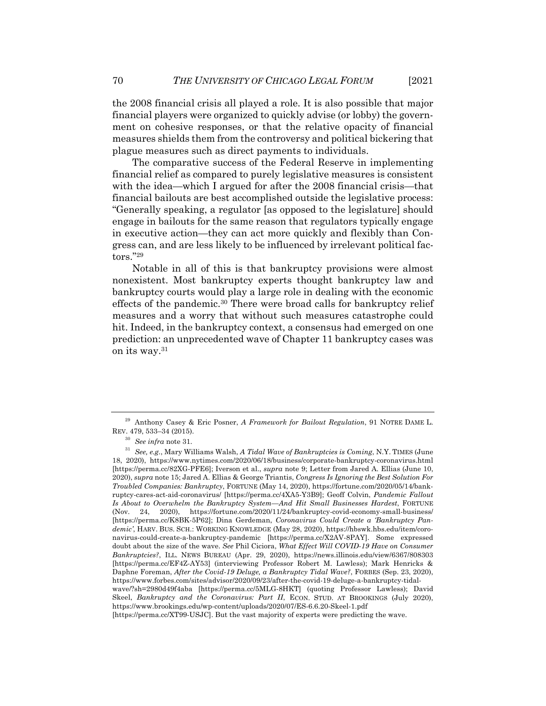the 2008 financial crisis all played a role. It is also possible that major financial players were organized to quickly advise (or lobby) the government on cohesive responses, or that the relative opacity of financial measures shields them from the controversy and political bickering that plague measures such as direct payments to individuals.

The comparative success of the Federal Reserve in implementing financial relief as compared to purely legislative measures is consistent with the idea—which I argued for after the 2008 financial crisis—that financial bailouts are best accomplished outside the legislative process: "Generally speaking, a regulator [as opposed to the legislature] should engage in bailouts for the same reason that regulators typically engage in executive action—they can act more quickly and flexibly than Congress can, and are less likely to be influenced by irrelevant political factors."29

Notable in all of this is that bankruptcy provisions were almost nonexistent. Most bankruptcy experts thought bankruptcy law and bankruptcy courts would play a large role in dealing with the economic effects of the pandemic.30 There were broad calls for bankruptcy relief measures and a worry that without such measures catastrophe could hit. Indeed, in the bankruptcy context, a consensus had emerged on one prediction: an unprecedented wave of Chapter 11 bankruptcy cases was on its way.31

<sup>29</sup> Anthony Casey & Eric Posner, *A Framework for Bailout Regulation*, 91 NOTRE DAME L. REV. 479, 533–34 (2015).

<sup>30</sup> *See infra* note 31.

<sup>31</sup> *See, e.g.*, Mary Williams Walsh, *A Tidal Wave of Bankruptcies is Coming*, N.Y. TIMES (June 18, 2020), https://www.nytimes.com/2020/06/18/business/corporate-bankruptcy-coronavirus.html [https://perma.cc/82XG-PFE6]; Iverson et al., *supra* note 9; Letter from Jared A. Ellias (June 10, 2020), *supra* note 15; Jared A. Ellias & George Triantis, *Congress Is Ignoring the Best Solution For Troubled Companies: Bankruptcy*, FORTUNE (May 14, 2020), https://fortune.com/2020/05/14/bankruptcy-cares-act-aid-coronavirus/ [https://perma.cc/4XA5-Y3B9]; Geoff Colvin, *Pandemic Fallout Is About to Overwhelm the Bankruptcy System—And Hit Small Businesses Hardest*, FORTUNE (Nov. 24, 2020), https://fortune.com/2020/11/24/bankruptcy-covid-economy-small-business/ [https://perma.cc/K8BK-5P62]; Dina Gerdeman, *Coronavirus Could Create a 'Bankruptcy Pandemic'*, HARV. BUS. SCH.: WORKING KNOWLEDGE (May 28, 2020), https://hbswk.hbs.edu/item/coronavirus-could-create-a-bankruptcy-pandemic [https://perma.cc/X2AV-8PAY]. Some expressed doubt about the size of the wave. *See* Phil Ciciora, *What Effect Will COVID-19 Have on Consumer Bankruptcies?*, ILL. NEWS BUREAU (Apr. 29, 2020), https://news.illinois.edu/view/6367/808303 [https://perma.cc/EF4Z-AY53] (interviewing Professor Robert M. Lawless); Mark Henricks & Daphne Foreman, *After the Covid-19 Deluge, a Bankruptcy Tidal Wave?*, FORBES (Sep. 23, 2020), https://www.forbes.com/sites/advisor/2020/09/23/after-the-covid-19-deluge-a-bankruptcy-tidalwave/?sh=2980d49f4aba [https://perma.cc/5MLG-8HKT] (quoting Professor Lawless); David Skeel, *Bankruptcy and the Coronavirus: Part II*, ECON. STUD. AT BROOKINGS (July 2020), https://www.brookings.edu/wp-content/uploads/2020/07/ES-6.6.20-Skeel-1.pdf

<sup>[</sup>https://perma.cc/XT99-USJC]. But the vast majority of experts were predicting the wave.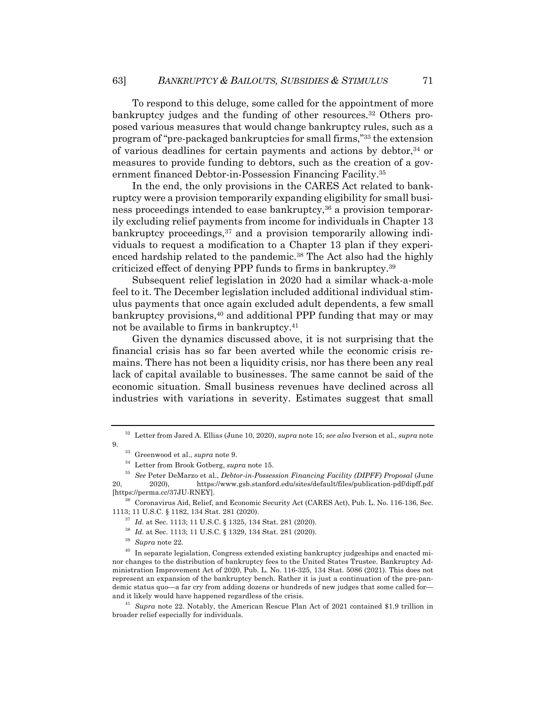To respond to this deluge, some called for the appointment of more bankruptcy judges and the funding of other resources.<sup>32</sup> Others proposed various measures that would change bankruptcy rules, such as a program of "pre-packaged bankruptcies for small firms,"33 the extension of various deadlines for certain payments and actions by debtor,34 or measures to provide funding to debtors, such as the creation of a government financed Debtor-in-Possession Financing Facility.35

In the end, the only provisions in the CARES Act related to bankruptcy were a provision temporarily expanding eligibility for small business proceedings intended to ease bankruptcy,<sup>36</sup> a provision temporarily excluding relief payments from income for individuals in Chapter 13 bankruptcy proceedings,<sup>37</sup> and a provision temporarily allowing individuals to request a modification to a Chapter 13 plan if they experienced hardship related to the pandemic.<sup>38</sup> The Act also had the highly criticized effect of denying PPP funds to firms in bankruptcy.39

Subsequent relief legislation in 2020 had a similar whack-a-mole feel to it. The December legislation included additional individual stimulus payments that once again excluded adult dependents, a few small bankruptcy provisions,<sup>40</sup> and additional PPP funding that may or may not be available to firms in bankruptcy.41

Given the dynamics discussed above, it is not surprising that the financial crisis has so far been averted while the economic crisis remains. There has not been a liquidity crisis, nor has there been any real lack of capital available to businesses. The same cannot be said of the economic situation. Small business revenues have declined across all industries with variations in severity. Estimates suggest that small

<sup>41</sup> *Supra* note 22. Notably, the American Rescue Plan Act of 2021 contained \$1.9 trillion in broader relief especially for individuals.

<sup>32</sup> Letter from Jared A. Ellias (June 10, 2020), *supra* note 15; *see also* Iverson et al., *supra* note 9.

<sup>33</sup> Greenwood et al., *supra* note 9.

<sup>34</sup> Letter from Brook Gotberg, *supra* note 15.

<sup>35</sup> *See* Peter DeMarzo et al., *Debtor-in-Possession Financing Facility (DIPFF) Proposal* (June 20, 2020), https://www.gsb.stanford.edu/sites/default/files/publication-pdf/dipff.pdf [https://perma.cc/37JU-RNEY].

<sup>&</sup>lt;sup>36</sup> Coronavirus Aid, Relief, and Economic Security Act (CARES Act), Pub. L. No. 116-136, Sec. 1113; 11 U.S.C. § 1182, 134 Stat. 281 (2020).

<sup>37</sup> *Id.* at Sec. 1113; 11 U.S.C. § 1325, 134 Stat. 281 (2020).

<sup>38</sup> *Id.* at Sec. 1113; 11 U.S.C. § 1329, 134 Stat. 281 (2020).

<sup>39</sup> *Supra* note 22.

 $^{40}\,$  In separate legislation, Congress extended existing bankruptcy judgeships and enacted minor changes to the distribution of bankruptcy fees to the United States Trustee. Bankruptcy Administration Improvement Act of 2020, Pub. L. No. 116-325, 134 Stat. 5086 (2021). This does not represent an expansion of the bankruptcy bench. Rather it is just a continuation of the pre-pandemic status quo—a far cry from adding dozens or hundreds of new judges that some called for and it likely would have happened regardless of the crisis.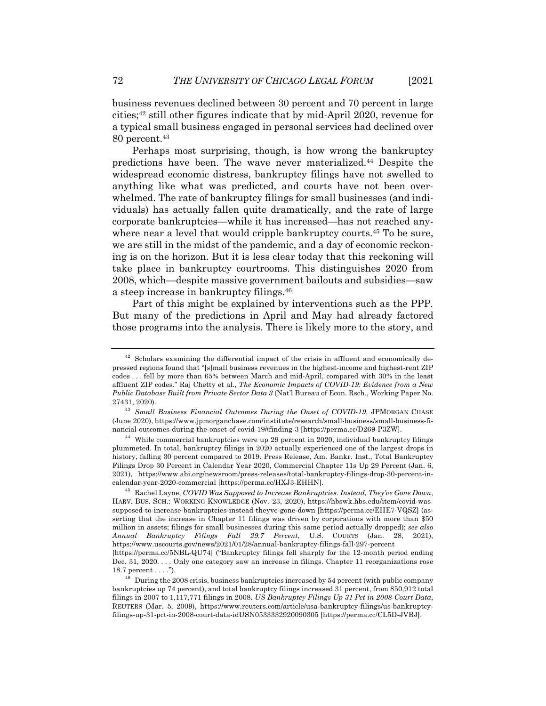business revenues declined between 30 percent and 70 percent in large cities; $42$  still other figures indicate that by mid-April 2020, revenue for a typical small business engaged in personal services had declined over 80 percent.<sup>43</sup>

Perhaps most surprising, though, is how wrong the bankruptcy predictions have been. The wave never materialized.44 Despite the widespread economic distress, bankruptcy filings have not swelled to anything like what was predicted, and courts have not been overwhelmed. The rate of bankruptcy filings for small businesses (and individuals) has actually fallen quite dramatically, and the rate of large corporate bankruptcies—while it has increased—has not reached anywhere near a level that would cripple bankruptcy courts.<sup>45</sup> To be sure, we are still in the midst of the pandemic, and a day of economic reckoning is on the horizon. But it is less clear today that this reckoning will take place in bankruptcy courtrooms. This distinguishes 2020 from 2008, which—despite massive government bailouts and subsidies—saw a steep increase in bankruptcy filings.46

Part of this might be explained by interventions such as the PPP. But many of the predictions in April and May had already factored those programs into the analysis. There is likely more to the story, and

 $42$  Scholars examining the differential impact of the crisis in affluent and economically depressed regions found that "[s]mall business revenues in the highest-income and highest-rent ZIP codes . . . fell by more than 65% between March and mid-April, compared with 30% in the least affluent ZIP codes." Raj Chetty et al., *The Economic Impacts of COVID-19: Evidence from a New Public Database Built from Private Sector Data 3* (Nat'l Bureau of Econ. Rsch., Working Paper No. 27431, 2020).

<sup>43</sup> *Small Business Financial Outcomes During the Onset of COVID-19*, JPMORGAN CHASE (June 2020), https://www.jpmorganchase.com/institute/research/small-business/small-business-financial-outcomes-during-the-onset-of-covid-19#finding-3 [https://perma.cc/D269-P3ZW].

 $44$  While commercial bankruptcies were up 29 percent in 2020, individual bankruptcy filings plummeted. In total, bankruptcy filings in 2020 actually experienced one of the largest drops in history, falling 30 percent compared to 2019. Press Release, Am. Bankr. Inst., Total Bankruptcy Filings Drop 30 Percent in Calendar Year 2020, Commercial Chapter 11s Up 29 Percent (Jan. 6, 2021), https://www.abi.org/newsroom/press-releases/total-bankruptcy-filings-drop-30-percent-incalendar-year-2020-commercial [https://perma.cc/HXJ3-EHHN].

<sup>45</sup> Rachel Layne, *COVID Was Supposed to Increase Bankruptcies. Instead, They've Gone Down*, HARV. BUS. SCH.: WORKING KNOWLEDGE (Nov. 23, 2020), https://hbswk.hbs.edu/item/covid-wassupposed-to-increase-bankruptcies-instead-theyve-gone-down [https://perma.cc/EHE7-VQSZ] (asserting that the increase in Chapter 11 filings was driven by corporations with more than \$50 million in assets; filings for small businesses during this same period actually dropped); *see also Annual Bankruptcy Filings Fall 29.7 Percent*, U.S. COURTS (Jan. 28, 2021), https://www.uscourts.gov/news/2021/01/28/annual-bankruptcy-filings-fall-297-percent [https://perma.cc/5NBL-QU74] ("Bankruptcy filings fell sharply for the 12-month period ending

Dec. 31, 2020. . . . Only one category saw an increase in filings. Chapter 11 reorganizations rose 18.7 percent . . . .").

 $^{46}\,$  During the 2008 crisis, business bankruptcies increased by 54 percent (with public company bankruptcies up 74 percent), and total bankruptcy filings increased 31 percent, from 850,912 total filings in 2007 to 1,117,771 filings in 2008. *US Bankruptcy Filings Up 31 Pct in 2008-Court Data*, REUTERS (Mar. 5, 2009), https://www.reuters.com/article/usa-bankruptcy-filings/us-bankruptcyfilings-up-31-pct-in-2008-court-data-idUSN0533332920090305 [https://perma.cc/CL5D-JVBJ].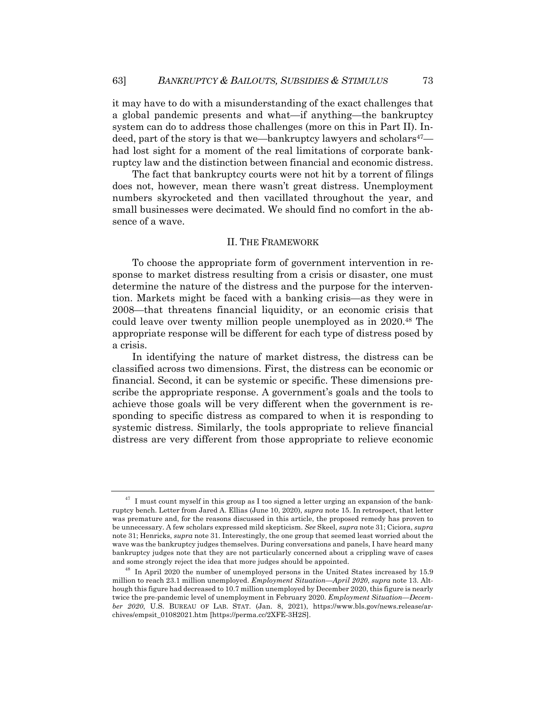it may have to do with a misunderstanding of the exact challenges that a global pandemic presents and what—if anything—the bankruptcy system can do to address those challenges (more on this in Part II). Indeed, part of the story is that we—bankruptcy lawyers and scholars<sup>47</sup> had lost sight for a moment of the real limitations of corporate bankruptcy law and the distinction between financial and economic distress.

The fact that bankruptcy courts were not hit by a torrent of filings does not, however, mean there wasn't great distress. Unemployment numbers skyrocketed and then vacillated throughout the year, and small businesses were decimated. We should find no comfort in the absence of a wave.

#### II. THE FRAMEWORK

To choose the appropriate form of government intervention in response to market distress resulting from a crisis or disaster, one must determine the nature of the distress and the purpose for the intervention. Markets might be faced with a banking crisis—as they were in 2008—that threatens financial liquidity, or an economic crisis that could leave over twenty million people unemployed as in 2020.48 The appropriate response will be different for each type of distress posed by a crisis.

In identifying the nature of market distress, the distress can be classified across two dimensions. First, the distress can be economic or financial. Second, it can be systemic or specific. These dimensions prescribe the appropriate response. A government's goals and the tools to achieve those goals will be very different when the government is responding to specific distress as compared to when it is responding to systemic distress. Similarly, the tools appropriate to relieve financial distress are very different from those appropriate to relieve economic

 $47$  I must count myself in this group as I too signed a letter urging an expansion of the bankruptcy bench. Letter from Jared A. Ellias (June 10, 2020), *supra* note 15. In retrospect, that letter was premature and, for the reasons discussed in this article, the proposed remedy has proven to be unnecessary. A few scholars expressed mild skepticism. *See* Skeel, *supra* note 31; Ciciora, *supra* note 31; Henricks, *supra* note 31. Interestingly, the one group that seemed least worried about the wave was the bankruptcy judges themselves. During conversations and panels, I have heard many bankruptcy judges note that they are not particularly concerned about a crippling wave of cases and some strongly reject the idea that more judges should be appointed.

In April 2020 the number of unemployed persons in the United States increased by 15.9 million to reach 23.1 million unemployed. *Employment Situation—April 2020*, *supra* note 13. Although this figure had decreased to 10.7 million unemployed by December 2020, this figure is nearly twice the pre-pandemic level of unemployment in February 2020. *Employment Situation—December 2020*, U.S. BUREAU OF LAB. STAT. (Jan. 8, 2021), https://www.bls.gov/news.release/archives/empsit\_01082021.htm [https://perma.cc/2XFE-3H2S].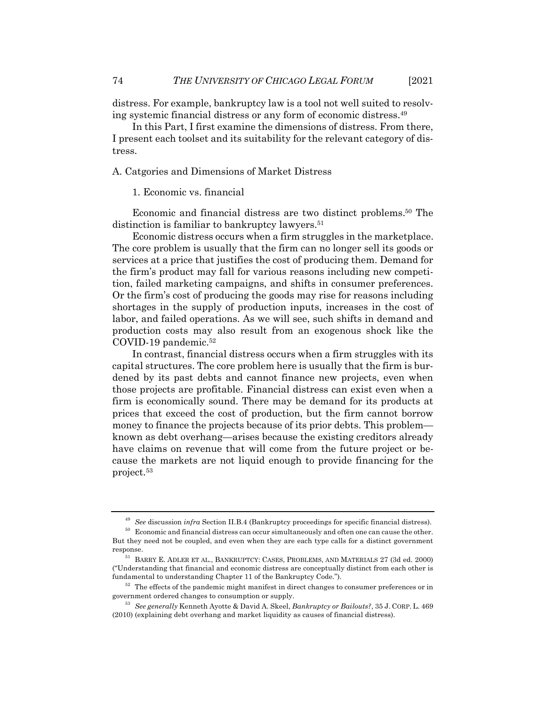distress. For example, bankruptcy law is a tool not well suited to resolving systemic financial distress or any form of economic distress.49

In this Part, I first examine the dimensions of distress. From there, I present each toolset and its suitability for the relevant category of distress.

A. Catgories and Dimensions of Market Distress

1. Economic vs. financial

Economic and financial distress are two distinct problems.50 The distinction is familiar to bankruptcy lawyers.<sup>51</sup>

Economic distress occurs when a firm struggles in the marketplace. The core problem is usually that the firm can no longer sell its goods or services at a price that justifies the cost of producing them. Demand for the firm's product may fall for various reasons including new competition, failed marketing campaigns, and shifts in consumer preferences. Or the firm's cost of producing the goods may rise for reasons including shortages in the supply of production inputs, increases in the cost of labor, and failed operations. As we will see, such shifts in demand and production costs may also result from an exogenous shock like the COVID-19 pandemic.52

In contrast, financial distress occurs when a firm struggles with its capital structures. The core problem here is usually that the firm is burdened by its past debts and cannot finance new projects, even when those projects are profitable. Financial distress can exist even when a firm is economically sound. There may be demand for its products at prices that exceed the cost of production, but the firm cannot borrow money to finance the projects because of its prior debts. This problem known as debt overhang—arises because the existing creditors already have claims on revenue that will come from the future project or because the markets are not liquid enough to provide financing for the project.53

<sup>49</sup> *See* discussion *infra* Section II.B.4 (Bankruptcy proceedings for specific financial distress).

 $50\,\,$  Economic and financial distress can occur simultaneously and often one can cause the other. But they need not be coupled, and even when they are each type calls for a distinct government response.

 $^{\rm 51}$  BARRY E. ADLER ET AL., BANKRUPTCY: CASES, PROBLEMS, AND MATERIALS  $27$  (3d ed. 2000) ("Understanding that financial and economic distress are conceptually distinct from each other is fundamental to understanding Chapter 11 of the Bankruptcy Code.").

 $52$  The effects of the pandemic might manifest in direct changes to consumer preferences or in government ordered changes to consumption or supply.

<sup>53</sup> *See generally* Kenneth Ayotte & David A. Skeel, *Bankruptcy or Bailouts?*, 35 J. CORP. L. 469 (2010) (explaining debt overhang and market liquidity as causes of financial distress).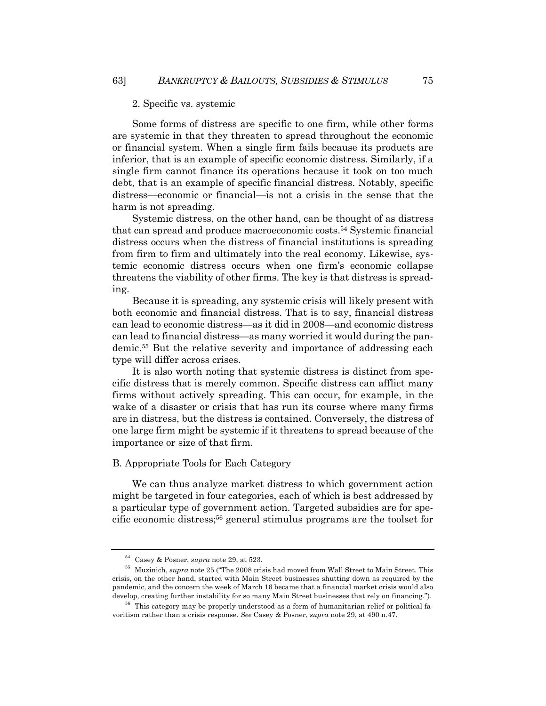#### 2. Specific vs. systemic

Some forms of distress are specific to one firm, while other forms are systemic in that they threaten to spread throughout the economic or financial system. When a single firm fails because its products are inferior, that is an example of specific economic distress. Similarly, if a single firm cannot finance its operations because it took on too much debt, that is an example of specific financial distress. Notably, specific distress—economic or financial—is not a crisis in the sense that the harm is not spreading.

Systemic distress, on the other hand, can be thought of as distress that can spread and produce macroeconomic costs.54 Systemic financial distress occurs when the distress of financial institutions is spreading from firm to firm and ultimately into the real economy. Likewise, systemic economic distress occurs when one firm's economic collapse threatens the viability of other firms. The key is that distress is spreading.

Because it is spreading, any systemic crisis will likely present with both economic and financial distress. That is to say, financial distress can lead to economic distress—as it did in 2008—and economic distress can lead to financial distress—as many worried it would during the pandemic.55 But the relative severity and importance of addressing each type will differ across crises.

It is also worth noting that systemic distress is distinct from specific distress that is merely common. Specific distress can afflict many firms without actively spreading. This can occur, for example, in the wake of a disaster or crisis that has run its course where many firms are in distress, but the distress is contained. Conversely, the distress of one large firm might be systemic if it threatens to spread because of the importance or size of that firm.

#### B. Appropriate Tools for Each Category

We can thus analyze market distress to which government action might be targeted in four categories, each of which is best addressed by a particular type of government action. Targeted subsidies are for specific economic distress;56 general stimulus programs are the toolset for

<sup>54</sup> Casey & Posner, *supra* note 29, at 523.

<sup>55</sup> Muzinich, *supra* note 25 ("The 2008 crisis had moved from Wall Street to Main Street. This crisis, on the other hand, started with Main Street businesses shutting down as required by the pandemic, and the concern the week of March 16 became that a financial market crisis would also develop, creating further instability for so many Main Street businesses that rely on financing.").

<sup>&</sup>lt;sup>56</sup> This category may be properly understood as a form of humanitarian relief or political favoritism rather than a crisis response. *See* Casey & Posner, *supra* note 29, at 490 n.47.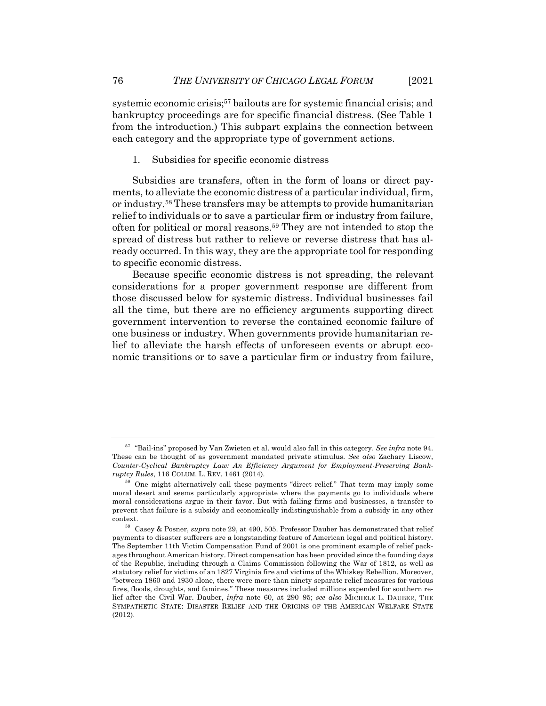systemic economic crisis;<sup>57</sup> bailouts are for systemic financial crisis; and bankruptcy proceedings are for specific financial distress. (See Table 1 from the introduction.) This subpart explains the connection between each category and the appropriate type of government actions.

1. Subsidies for specific economic distress

Subsidies are transfers, often in the form of loans or direct payments, to alleviate the economic distress of a particular individual, firm, or industry.58 These transfers may be attempts to provide humanitarian relief to individuals or to save a particular firm or industry from failure, often for political or moral reasons.59 They are not intended to stop the spread of distress but rather to relieve or reverse distress that has already occurred. In this way, they are the appropriate tool for responding to specific economic distress.

Because specific economic distress is not spreading, the relevant considerations for a proper government response are different from those discussed below for systemic distress. Individual businesses fail all the time, but there are no efficiency arguments supporting direct government intervention to reverse the contained economic failure of one business or industry. When governments provide humanitarian relief to alleviate the harsh effects of unforeseen events or abrupt economic transitions or to save a particular firm or industry from failure,

<sup>57</sup> "Bail-ins" proposed by Van Zwieten et al. would also fall in this category. *See infra* note 94. These can be thought of as government mandated private stimulus. *See also* Zachary Liscow, *Counter-Cyclical Bankruptcy Law: An Efficiency Argument for Employment-Preserving Bankruptcy Rules*, 116 COLUM. L. REV. 1461 (2014).

<sup>58</sup> One might alternatively call these payments "direct relief." That term may imply some moral desert and seems particularly appropriate where the payments go to individuals where moral considerations argue in their favor. But with failing firms and businesses, a transfer to prevent that failure is a subsidy and economically indistinguishable from a subsidy in any other context.

<sup>59</sup> Casey & Posner, *supra* note 29, at 490, 505. Professor Dauber has demonstrated that relief payments to disaster sufferers are a longstanding feature of American legal and political history. The September 11th Victim Compensation Fund of 2001 is one prominent example of relief packages throughout American history. Direct compensation has been provided since the founding days of the Republic, including through a Claims Commission following the War of 1812, as well as statutory relief for victims of an 1827 Virginia fire and victims of the Whiskey Rebellion. Moreover, "between 1860 and 1930 alone, there were more than ninety separate relief measures for various fires, floods, droughts, and famines." These measures included millions expended for southern relief after the Civil War. Dauber, *infra* note 60, at 290–95; *see also* MICHELE L. DAUBER, THE SYMPATHETIC STATE: DISASTER RELIEF AND THE ORIGINS OF THE AMERICAN WELFARE STATE (2012).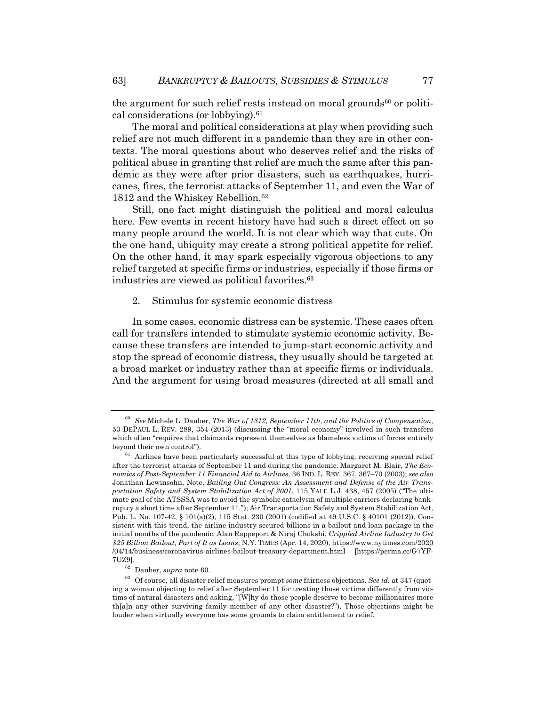the argument for such relief rests instead on moral grounds<sup>60</sup> or political considerations (or lobbying). $61$ 

The moral and political considerations at play when providing such relief are not much different in a pandemic than they are in other contexts. The moral questions about who deserves relief and the risks of political abuse in granting that relief are much the same after this pandemic as they were after prior disasters, such as earthquakes, hurricanes, fires, the terrorist attacks of September 11, and even the War of 1812 and the Whiskey Rebellion.<sup>62</sup>

Still, one fact might distinguish the political and moral calculus here. Few events in recent history have had such a direct effect on so many people around the world. It is not clear which way that cuts. On the one hand, ubiquity may create a strong political appetite for relief. On the other hand, it may spark especially vigorous objections to any relief targeted at specific firms or industries, especially if those firms or industries are viewed as political favorites.<sup>63</sup>

2. Stimulus for systemic economic distress

In some cases, economic distress can be systemic. These cases often call for transfers intended to stimulate systemic economic activity. Because these transfers are intended to jump-start economic activity and stop the spread of economic distress, they usually should be targeted at a broad market or industry rather than at specific firms or individuals. And the argument for using broad measures (directed at all small and

<sup>60</sup> *See* Michele L. Dauber, *The War of 1812, September 11th, and the Politics of Compensation*, 53 DEPAUL L. REV. 289, 354 (2013) (discussing the "moral economy" involved in such transfers which often "requires that claimants represent themselves as blameless victims of forces entirely beyond their own control").

 $61$  Airlines have been particularly successful at this type of lobbying, receiving special relief after the terrorist attacks of September 11 and during the pandemic. Margaret M. Blair, *The Economics of Post-September 11 Financial Aid to Airlines*, 36 IND. L. REV. 367, 367–70 (2003); *see also* Jonathan Lewinsohn, Note, *Bailing Out Congress: An Assessment and Defense of the Air Transportation Safety and System Stabilization Act of 2001*, 115 YALE L.J. 438, 457 (2005) ("The ultimate goal of the ATSSSA was to avoid the symbolic cataclysm of multiple carriers declaring bankruptcy a short time after September 11."); Air Transportation Safety and System Stabilization Act, Pub. L. No. 107-42, § 101(a)(2), 115 Stat. 230 (2001) (codified at 49 U.S.C. § 40101 (2012)). Consistent with this trend, the airline industry secured billions in a bailout and loan package in the initial months of the pandemic. Alan Rappeport & Niraj Chokshi, *Crippled Airline Industry to Get \$25 Billion Bailout, Part of It as Loans*, N.Y. TIMES (Apr. 14, 2020), https://www.nytimes.com/2020 /04/14/business/coronavirus-airlines-bailout-treasury-department.html [https://perma.cc/G7YF-7UZ9].

<sup>62</sup> Dauber, *supra* note 60.

<sup>63</sup> Of course, all disaster relief measures prompt *some* fairness objections. *See id.* at 347 (quoting a woman objecting to relief after September 11 for treating those victims differently from victims of natural disasters and asking, "[W]hy do those people deserve to become millionaires more th[a]n any other surviving family member of any other disaster?"). Those objections might be louder when virtually everyone has some grounds to claim entitlement to relief.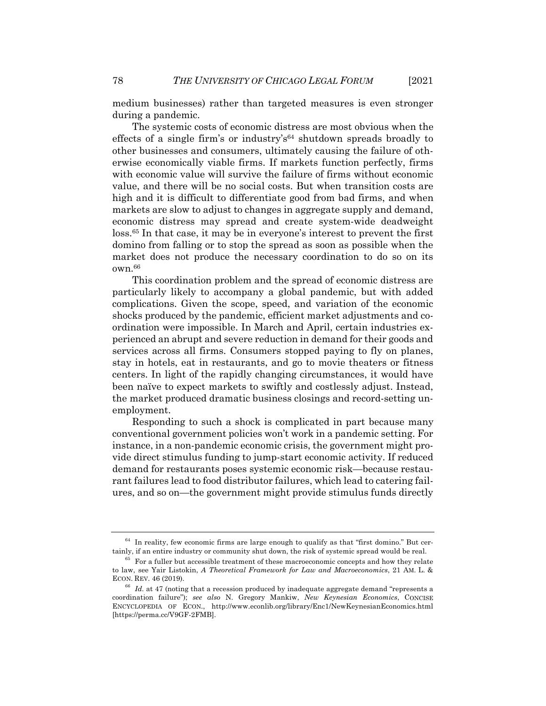medium businesses) rather than targeted measures is even stronger during a pandemic.

The systemic costs of economic distress are most obvious when the effects of a single firm's or industry's<sup>64</sup> shutdown spreads broadly to other businesses and consumers, ultimately causing the failure of otherwise economically viable firms. If markets function perfectly, firms with economic value will survive the failure of firms without economic value, and there will be no social costs. But when transition costs are high and it is difficult to differentiate good from bad firms, and when markets are slow to adjust to changes in aggregate supply and demand, economic distress may spread and create system-wide deadweight loss.65 In that case, it may be in everyone's interest to prevent the first domino from falling or to stop the spread as soon as possible when the market does not produce the necessary coordination to do so on its  $own<sup>.66</sup>$ 

This coordination problem and the spread of economic distress are particularly likely to accompany a global pandemic, but with added complications. Given the scope, speed, and variation of the economic shocks produced by the pandemic, efficient market adjustments and coordination were impossible. In March and April, certain industries experienced an abrupt and severe reduction in demand for their goods and services across all firms. Consumers stopped paying to fly on planes, stay in hotels, eat in restaurants, and go to movie theaters or fitness centers. In light of the rapidly changing circumstances, it would have been naïve to expect markets to swiftly and costlessly adjust. Instead, the market produced dramatic business closings and record-setting unemployment.

Responding to such a shock is complicated in part because many conventional government policies won't work in a pandemic setting. For instance, in a non-pandemic economic crisis, the government might provide direct stimulus funding to jump-start economic activity. If reduced demand for restaurants poses systemic economic risk—because restaurant failures lead to food distributor failures, which lead to catering failures, and so on—the government might provide stimulus funds directly

 $64$  In reality, few economic firms are large enough to qualify as that "first domino." But certainly, if an entire industry or community shut down, the risk of systemic spread would be real.

<sup>65</sup> For a fuller but accessible treatment of these macroeconomic concepts and how they relate to law, see Yair Listokin, *A Theoretical Framework for Law and Macroeconomics*, 21 AM. L. & ECON. REV. 46 (2019).

 $66$  *Id.* at 47 (noting that a recession produced by inadequate aggregate demand "represents a coordination failure"); *see also* N. Gregory Mankiw, *New Keynesian Economics*, CONCISE ENCYCLOPEDIA OF ECON., http://www.econlib.org/library/Enc1/NewKeynesianEconomics.html [https://perma.cc/V9GF-2FMB].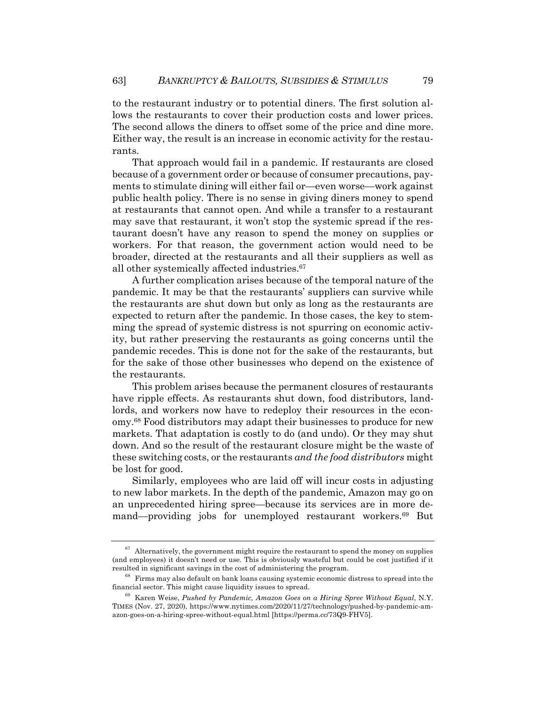to the restaurant industry or to potential diners. The first solution allows the restaurants to cover their production costs and lower prices. The second allows the diners to offset some of the price and dine more. Either way, the result is an increase in economic activity for the restaurants.

That approach would fail in a pandemic. If restaurants are closed because of a government order or because of consumer precautions, payments to stimulate dining will either fail or—even worse—work against public health policy. There is no sense in giving diners money to spend at restaurants that cannot open. And while a transfer to a restaurant may save that restaurant, it won't stop the systemic spread if the restaurant doesn't have any reason to spend the money on supplies or workers. For that reason, the government action would need to be broader, directed at the restaurants and all their suppliers as well as all other systemically affected industries.67

A further complication arises because of the temporal nature of the pandemic. It may be that the restaurants' suppliers can survive while the restaurants are shut down but only as long as the restaurants are expected to return after the pandemic. In those cases, the key to stemming the spread of systemic distress is not spurring on economic activity, but rather preserving the restaurants as going concerns until the pandemic recedes. This is done not for the sake of the restaurants, but for the sake of those other businesses who depend on the existence of the restaurants.

This problem arises because the permanent closures of restaurants have ripple effects. As restaurants shut down, food distributors, landlords, and workers now have to redeploy their resources in the economy.68 Food distributors may adapt their businesses to produce for new markets. That adaptation is costly to do (and undo). Or they may shut down. And so the result of the restaurant closure might be the waste of these switching costs, or the restaurants *and the food distributors* might be lost for good.

Similarly, employees who are laid off will incur costs in adjusting to new labor markets. In the depth of the pandemic, Amazon may go on an unprecedented hiring spree—because its services are in more demand—providing jobs for unemployed restaurant workers.69 But

 $67$  Alternatively, the government might require the restaurant to spend the money on supplies (and employees) it doesn't need or use. This is obviously wasteful but could be cost justified if it resulted in significant savings in the cost of administering the program.

 $^{68}\,$  Firms may also default on bank loans causing systemic economic distress to spread into the financial sector. This might cause liquidity issues to spread.

<sup>69</sup> Karen Weise, *Pushed by Pandemic, Amazon Goes on a Hiring Spree Without Equal*, N.Y. TIMES (Nov. 27, 2020), https://www.nytimes.com/2020/11/27/technology/pushed-by-pandemic-amazon-goes-on-a-hiring-spree-without-equal.html [https://perma.cc/73Q9-FHV5].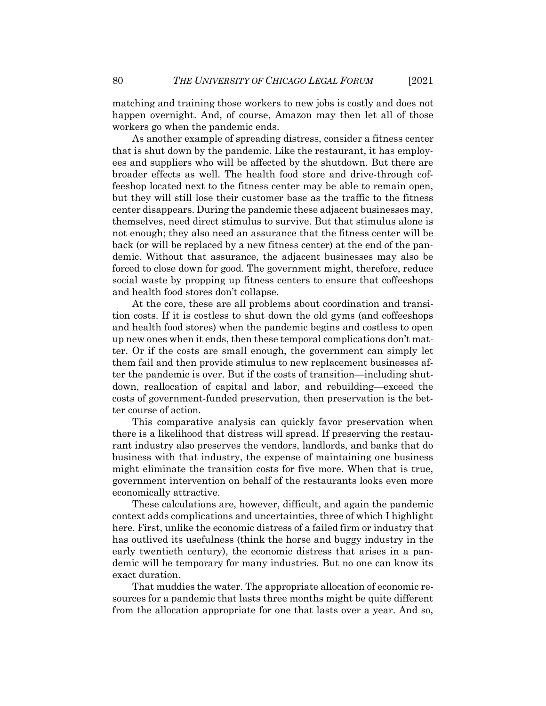matching and training those workers to new jobs is costly and does not happen overnight. And, of course, Amazon may then let all of those workers go when the pandemic ends.

As another example of spreading distress, consider a fitness center that is shut down by the pandemic. Like the restaurant, it has employees and suppliers who will be affected by the shutdown. But there are broader effects as well. The health food store and drive-through coffeeshop located next to the fitness center may be able to remain open, but they will still lose their customer base as the traffic to the fitness center disappears. During the pandemic these adjacent businesses may, themselves, need direct stimulus to survive. But that stimulus alone is not enough; they also need an assurance that the fitness center will be back (or will be replaced by a new fitness center) at the end of the pandemic. Without that assurance, the adjacent businesses may also be forced to close down for good. The government might, therefore, reduce social waste by propping up fitness centers to ensure that coffeeshops and health food stores don't collapse.

At the core, these are all problems about coordination and transition costs. If it is costless to shut down the old gyms (and coffeeshops and health food stores) when the pandemic begins and costless to open up new ones when it ends, then these temporal complications don't matter. Or if the costs are small enough, the government can simply let them fail and then provide stimulus to new replacement businesses after the pandemic is over. But if the costs of transition—including shutdown, reallocation of capital and labor, and rebuilding—exceed the costs of government-funded preservation, then preservation is the better course of action.

This comparative analysis can quickly favor preservation when there is a likelihood that distress will spread. If preserving the restaurant industry also preserves the vendors, landlords, and banks that do business with that industry, the expense of maintaining one business might eliminate the transition costs for five more. When that is true, government intervention on behalf of the restaurants looks even more economically attractive.

These calculations are, however, difficult, and again the pandemic context adds complications and uncertainties, three of which I highlight here. First, unlike the economic distress of a failed firm or industry that has outlived its usefulness (think the horse and buggy industry in the early twentieth century), the economic distress that arises in a pandemic will be temporary for many industries. But no one can know its exact duration.

That muddies the water. The appropriate allocation of economic resources for a pandemic that lasts three months might be quite different from the allocation appropriate for one that lasts over a year. And so,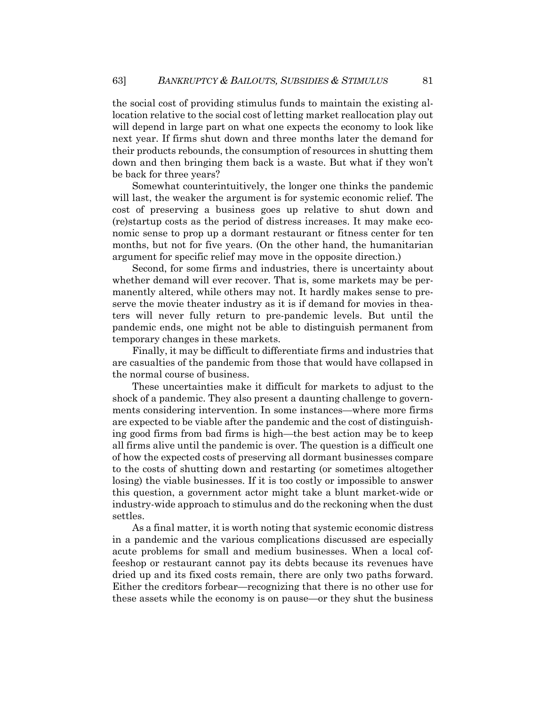the social cost of providing stimulus funds to maintain the existing allocation relative to the social cost of letting market reallocation play out will depend in large part on what one expects the economy to look like next year. If firms shut down and three months later the demand for their products rebounds, the consumption of resources in shutting them down and then bringing them back is a waste. But what if they won't be back for three years?

Somewhat counterintuitively, the longer one thinks the pandemic will last, the weaker the argument is for systemic economic relief. The cost of preserving a business goes up relative to shut down and (re)startup costs as the period of distress increases. It may make economic sense to prop up a dormant restaurant or fitness center for ten months, but not for five years. (On the other hand, the humanitarian argument for specific relief may move in the opposite direction.)

Second, for some firms and industries, there is uncertainty about whether demand will ever recover. That is, some markets may be permanently altered, while others may not. It hardly makes sense to preserve the movie theater industry as it is if demand for movies in theaters will never fully return to pre-pandemic levels. But until the pandemic ends, one might not be able to distinguish permanent from temporary changes in these markets.

Finally, it may be difficult to differentiate firms and industries that are casualties of the pandemic from those that would have collapsed in the normal course of business.

These uncertainties make it difficult for markets to adjust to the shock of a pandemic. They also present a daunting challenge to governments considering intervention. In some instances—where more firms are expected to be viable after the pandemic and the cost of distinguishing good firms from bad firms is high—the best action may be to keep all firms alive until the pandemic is over. The question is a difficult one of how the expected costs of preserving all dormant businesses compare to the costs of shutting down and restarting (or sometimes altogether losing) the viable businesses. If it is too costly or impossible to answer this question, a government actor might take a blunt market-wide or industry-wide approach to stimulus and do the reckoning when the dust settles.

As a final matter, it is worth noting that systemic economic distress in a pandemic and the various complications discussed are especially acute problems for small and medium businesses. When a local coffeeshop or restaurant cannot pay its debts because its revenues have dried up and its fixed costs remain, there are only two paths forward. Either the creditors forbear—recognizing that there is no other use for these assets while the economy is on pause—or they shut the business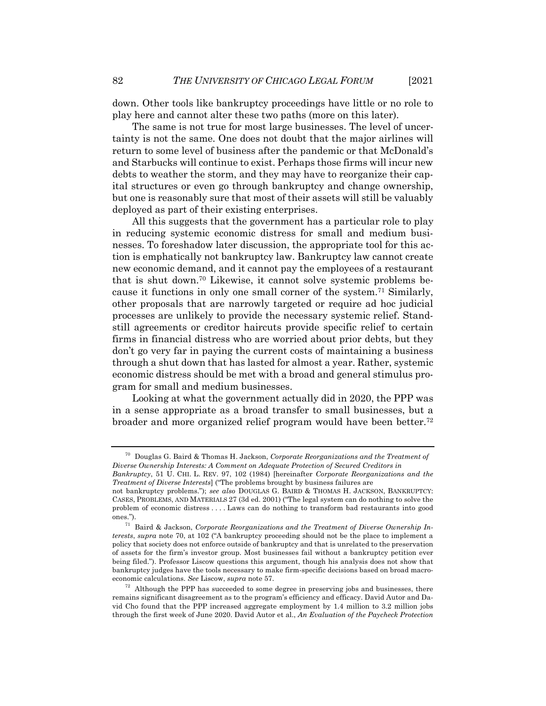down. Other tools like bankruptcy proceedings have little or no role to play here and cannot alter these two paths (more on this later).

The same is not true for most large businesses. The level of uncertainty is not the same. One does not doubt that the major airlines will return to some level of business after the pandemic or that McDonald's and Starbucks will continue to exist. Perhaps those firms will incur new debts to weather the storm, and they may have to reorganize their capital structures or even go through bankruptcy and change ownership, but one is reasonably sure that most of their assets will still be valuably deployed as part of their existing enterprises.

All this suggests that the government has a particular role to play in reducing systemic economic distress for small and medium businesses. To foreshadow later discussion, the appropriate tool for this action is emphatically not bankruptcy law. Bankruptcy law cannot create new economic demand, and it cannot pay the employees of a restaurant that is shut down.70 Likewise, it cannot solve systemic problems because it functions in only one small corner of the system.71 Similarly, other proposals that are narrowly targeted or require ad hoc judicial processes are unlikely to provide the necessary systemic relief. Standstill agreements or creditor haircuts provide specific relief to certain firms in financial distress who are worried about prior debts, but they don't go very far in paying the current costs of maintaining a business through a shut down that has lasted for almost a year. Rather, systemic economic distress should be met with a broad and general stimulus program for small and medium businesses.

Looking at what the government actually did in 2020, the PPP was in a sense appropriate as a broad transfer to small businesses, but a broader and more organized relief program would have been better.72

<sup>70</sup> Douglas G. Baird & Thomas H. Jackson, *Corporate Reorganizations and the Treatment of Diverse Ownership Interests: A Comment on Adequate Protection of Secured Creditors in*

*Bankruptcy*, 51 U. CHI. L. REV. 97, 102 (1984) [hereinafter *Corporate Reorganizations and the Treatment of Diverse Interests*] ("The problems brought by business failures are

not bankruptcy problems."); *see also* DOUGLAS G. BAIRD & THOMAS H. JACKSON, BANKRUPTCY: CASES, PROBLEMS, AND MATERIALS 27 (3d ed. 2001) ("The legal system can do nothing to solve the problem of economic distress . . . . Laws can do nothing to transform bad restaurants into good ones.").

<sup>71</sup> Baird & Jackson, *Corporate Reorganizations and the Treatment of Diverse Ownership Interests*, *supra* note 70, at 102 ("A bankruptcy proceeding should not be the place to implement a policy that society does not enforce outside of bankruptcy and that is unrelated to the preservation of assets for the firm's investor group. Most businesses fail without a bankruptcy petition ever being filed."). Professor Liscow questions this argument, though his analysis does not show that bankruptcy judges have the tools necessary to make firm-specific decisions based on broad macroeconomic calculations. *See* Liscow, *supra* note 57.

 $72$  Although the PPP has succeeded to some degree in preserving jobs and businesses, there remains significant disagreement as to the program's efficiency and efficacy. David Autor and David Cho found that the PPP increased aggregate employment by 1.4 million to 3.2 million jobs through the first week of June 2020. David Autor et al., *An Evaluation of the Paycheck Protection*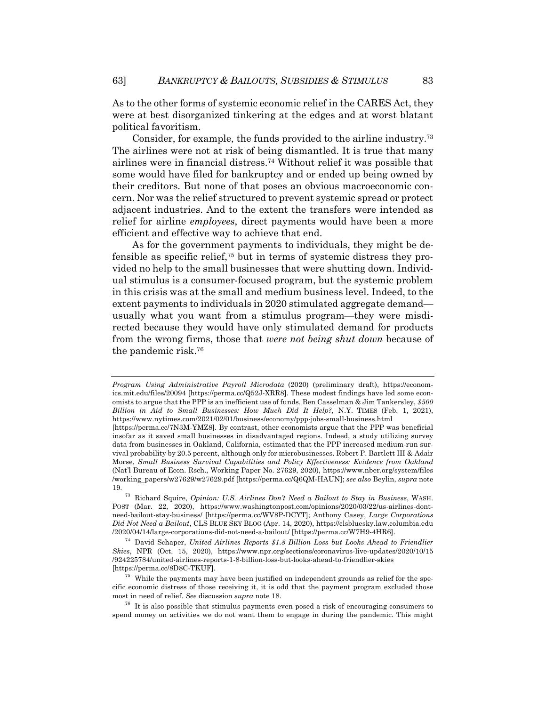As to the other forms of systemic economic relief in the CARES Act, they were at best disorganized tinkering at the edges and at worst blatant political favoritism.

Consider, for example, the funds provided to the airline industry.73 The airlines were not at risk of being dismantled. It is true that many airlines were in financial distress.74 Without relief it was possible that some would have filed for bankruptcy and or ended up being owned by their creditors. But none of that poses an obvious macroeconomic concern. Nor was the relief structured to prevent systemic spread or protect adjacent industries. And to the extent the transfers were intended as relief for airline *employees*, direct payments would have been a more efficient and effective way to achieve that end.

As for the government payments to individuals, they might be defensible as specific relief,75 but in terms of systemic distress they provided no help to the small businesses that were shutting down. Individual stimulus is a consumer-focused program, but the systemic problem in this crisis was at the small and medium business level. Indeed, to the extent payments to individuals in 2020 stimulated aggregate demand usually what you want from a stimulus program—they were misdirected because they would have only stimulated demand for products from the wrong firms, those that *were not being shut down* because of the pandemic risk.76

*Program Using Administrative Payroll Microdata* (2020) (preliminary draft), https://economics.mit.edu/files/20094 [https://perma.cc/Q52J-XRR8]. These modest findings have led some economists to argue that the PPP is an inefficient use of funds. Ben Casselman & Jim Tankersley, *\$500 Billion in Aid to Small Businesses: How Much Did It Help?*, N.Y. TIMES (Feb. 1, 2021), https://www.nytimes.com/2021/02/01/business/economy/ppp-jobs-small-business.html

<sup>[</sup>https://perma.cc/7N3M-YMZ8]. By contrast, other economists argue that the PPP was beneficial insofar as it saved small businesses in disadvantaged regions. Indeed, a study utilizing survey data from businesses in Oakland, California, estimated that the PPP increased medium-run survival probability by 20.5 percent, although only for microbusinesses. Robert P. Bartlett III & Adair Morse, *Small Business Survival Capabilities and Policy Effectiveness: Evidence from Oakland* (Nat'l Bureau of Econ. Rsch., Working Paper No. 27629, 2020), https://www.nber.org/system/files /working\_papers/w27629/w27629.pdf [https://perma.cc/Q6QM-HAUN]; *see also* Beylin, *supra* note 19.

<sup>73</sup> Richard Squire, *Opinion: U.S. Airlines Don't Need a Bailout to Stay in Business*, WASH. POST (Mar. 22, 2020), https://www.washingtonpost.com/opinions/2020/03/22/us-airlines-dontneed-bailout-stay-business/ [https://perma.cc/WV8P-DCYT]; Anthony Casey, *Large Corporations Did Not Need a Bailout*, CLS BLUE SKY BLOG (Apr. 14, 2020), https://clsbluesky.law.columbia.edu /2020/04/14/large-corporations-did-not-need-a-bailout/ [https://perma.cc/W7H9-4HR6].

<sup>74</sup> David Schaper, *United Airlines Reports \$1.8 Billion Loss but Looks Ahead to Friendlier Skies*, NPR (Oct. 15, 2020), https://www.npr.org/sections/coronavirus-live-updates/2020/10/15 /924225784/united-airlines-reports-1-8-billion-loss-but-looks-ahead-to-friendlier-skies [https://perma.cc/8D8C-TKUF].

<sup>75</sup> While the payments may have been justified on independent grounds as relief for the specific economic distress of those receiving it, it is odd that the payment program excluded those most in need of relief. *See* discussion *supra* note 18.

 $76$  It is also possible that stimulus payments even posed a risk of encouraging consumers to spend money on activities we do not want them to engage in during the pandemic. This might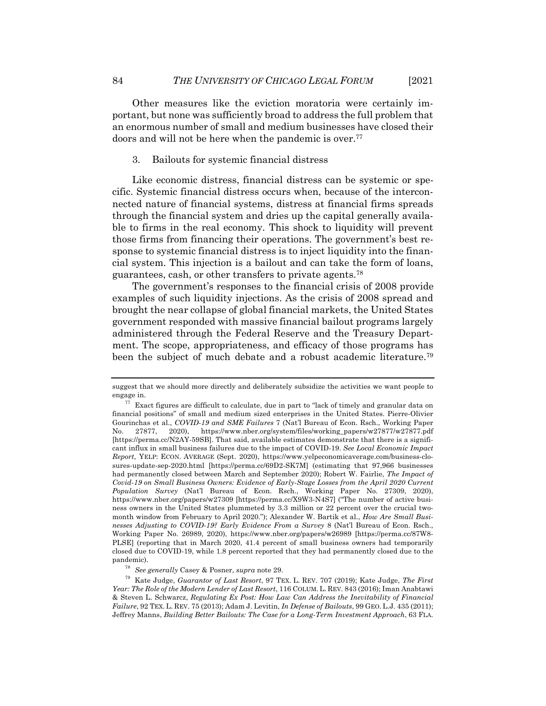Other measures like the eviction moratoria were certainly important, but none was sufficiently broad to address the full problem that an enormous number of small and medium businesses have closed their doors and will not be here when the pandemic is over.<sup>77</sup>

#### 3. Bailouts for systemic financial distress

Like economic distress, financial distress can be systemic or specific. Systemic financial distress occurs when, because of the interconnected nature of financial systems, distress at financial firms spreads through the financial system and dries up the capital generally available to firms in the real economy. This shock to liquidity will prevent those firms from financing their operations. The government's best response to systemic financial distress is to inject liquidity into the financial system. This injection is a bailout and can take the form of loans, guarantees, cash, or other transfers to private agents.78

The government's responses to the financial crisis of 2008 provide examples of such liquidity injections. As the crisis of 2008 spread and brought the near collapse of global financial markets, the United States government responded with massive financial bailout programs largely administered through the Federal Reserve and the Treasury Department. The scope, appropriateness, and efficacy of those programs has been the subject of much debate and a robust academic literature.<sup>79</sup>

suggest that we should more directly and deliberately subsidize the activities we want people to engage in.

 $^{77}\,$  Exact figures are difficult to calculate, due in part to "lack of timely and granular data on financial positions" of small and medium sized enterprises in the United States. Pierre-Olivier Gourinchas et al., *COVID-19 and SME Failures* 7 (Nat'l Bureau of Econ. Rsch., Working Paper No. 27877, 2020), https://www.nber.org/system/files/working\_papers/w27877/w27877.pdf [https://perma.cc/N2AY-59SB]. That said, available estimates demonstrate that there is a significant influx in small business failures due to the impact of COVID-19. *See Local Economic Impact Report*, YELP: ECON. AVERAGE (Sept. 2020), https://www.yelpeconomicaverage.com/business-closures-update-sep-2020.html [https://perma.cc/69D2-SK7M] (estimating that 97,966 businesses had permanently closed between March and September 2020); Robert W. Fairlie, *The Impact of Covid-19 on Small Business Owners: Evidence of Early-Stage Losses from the April 2020 Current Population Survey* (Nat'l Bureau of Econ. Rsch., Working Paper No. 27309, 2020), https://www.nber.org/papers/w27309 [https://perma.cc/X9W3-N4S7] ("The number of active business owners in the United States plummeted by 3.3 million or 22 percent over the crucial twomonth window from February to April 2020."); Alexander W. Bartik et al., *How Are Small Businesses Adjusting to COVID-19? Early Evidence From a Survey* 8 (Nat'l Bureau of Econ. Rsch., Working Paper No. 26989, 2020), https://www.nber.org/papers/w26989 [https://perma.cc/87W8- PLSE] (reporting that in March 2020, 41.4 percent of small business owners had temporarily closed due to COVID-19, while 1.8 percent reported that they had permanently closed due to the pandemic).

<sup>78</sup> *See generally* Casey & Posner, *supra* note 29.

<sup>79</sup> Kate Judge, *Guarantor of Last Resort*, 97 TEX. L. REV. 707 (2019); Kate Judge, *The First Year: The Role of the Modern Lender of Last Resort*, 116 COLUM. L. REV. 843 (2016); Iman Anabtawi & Steven L. Schwarcz, *Regulating Ex Post: How Law Can Address the Inevitability of Financial Failure*, 92 TEX. L. REV. 75 (2013); Adam J. Levitin, *In Defense of Bailouts*, 99 GEO. L.J. 435 (2011); Jeffrey Manns, *Building Better Bailouts: The Case for a Long-Term Investment Approach*, 63 FLA.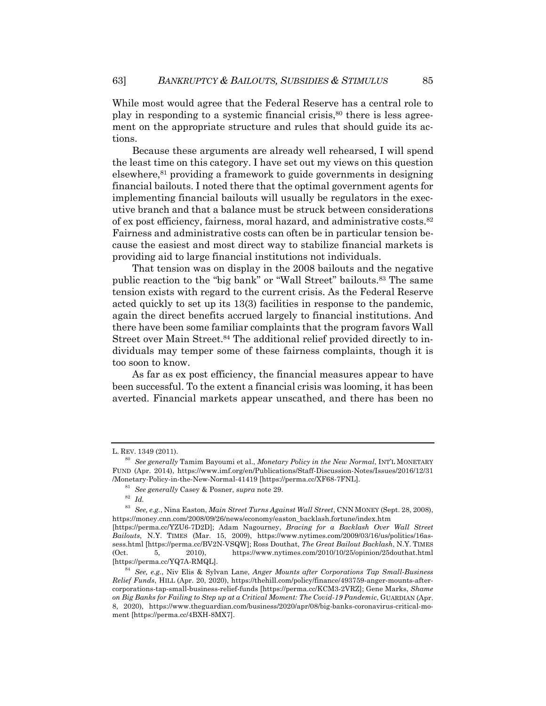While most would agree that the Federal Reserve has a central role to play in responding to a systemic financial crisis,  $80$  there is less agreement on the appropriate structure and rules that should guide its actions.

Because these arguments are already well rehearsed, I will spend the least time on this category. I have set out my views on this question elsewhere,81 providing a framework to guide governments in designing financial bailouts. I noted there that the optimal government agents for implementing financial bailouts will usually be regulators in the executive branch and that a balance must be struck between considerations of ex post efficiency, fairness, moral hazard, and administrative costs.82 Fairness and administrative costs can often be in particular tension because the easiest and most direct way to stabilize financial markets is providing aid to large financial institutions not individuals.

That tension was on display in the 2008 bailouts and the negative public reaction to the "big bank" or "Wall Street" bailouts.83 The same tension exists with regard to the current crisis. As the Federal Reserve acted quickly to set up its 13(3) facilities in response to the pandemic, again the direct benefits accrued largely to financial institutions. And there have been some familiar complaints that the program favors Wall Street over Main Street.<sup>84</sup> The additional relief provided directly to individuals may temper some of these fairness complaints, though it is too soon to know.

As far as ex post efficiency, the financial measures appear to have been successful. To the extent a financial crisis was looming, it has been averted. Financial markets appear unscathed, and there has been no

L. REV. 1349 (2011).

<sup>80</sup> *See generally* Tamim Bayoumi et al., *Monetary Policy in the New Normal*, INT'L MONETARY FUND (Apr. 2014), https://www.imf.org/en/Publications/Staff-Discussion-Notes/Issues/2016/12/31 /Monetary-Policy-in-the-New-Normal-41419 [https://perma.cc/XF68-7FNL].

<sup>81</sup> *See generally* Casey & Posner, *supra* note 29.

<sup>82</sup> *Id.*

<sup>83</sup> *See, e.g.*, Nina Easton, *Main Street Turns Against Wall Street*, CNN MONEY (Sept. 28, 2008), https://money.cnn.com/2008/09/26/news/economy/easton\_backlash.fortune/index.htm

<sup>[</sup>https://perma.cc/YZU6-7D2D]; Adam Nagourney, *Bracing for a Backlash Over Wall Street Bailouts*, N.Y. TIMES (Mar. 15, 2009), https://www.nytimes.com/2009/03/16/us/politics/16assess.html [https://perma.cc/BV2N-VSQW]; Ross Douthat, *The Great Bailout Backlash*, N.Y. TIMES (Oct. 5, 2010), https://www.nytimes.com/2010/10/25/opinion/25douthat.html [https://perma.cc/YQ7A-RMQL].

<sup>84</sup> *See, e.g.*, Niv Elis & Sylvan Lane, *Anger Mounts after Corporations Tap Small-Business Relief Funds*, HILL (Apr. 20, 2020), https://thehill.com/policy/finance/493759-anger-mounts-aftercorporations-tap-small-business-relief-funds [https://perma.cc/KCM3-2VRZ]; Gene Marks, *Shame on Big Banks for Failing to Step up at a Critical Moment: The Covid-19 Pandemic*, GUARDIAN (Apr. 8, 2020), https://www.theguardian.com/business/2020/apr/08/big-banks-coronavirus-critical-moment [https://perma.cc/4BXH-8MX7].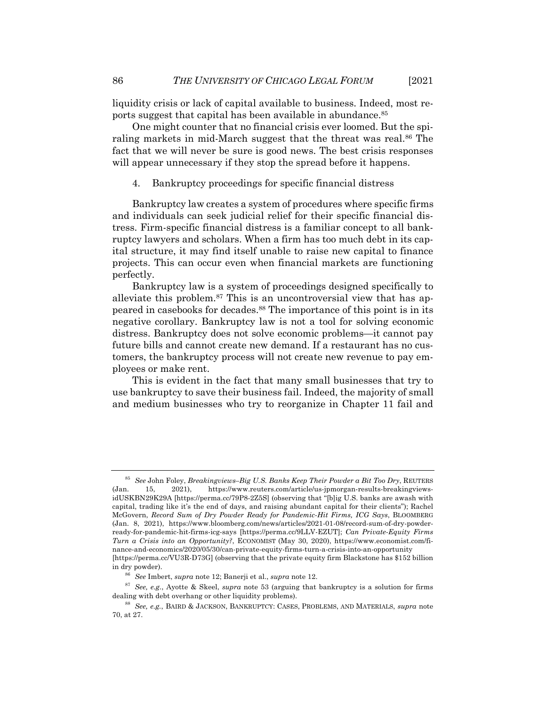liquidity crisis or lack of capital available to business. Indeed, most reports suggest that capital has been available in abundance.85

One might counter that no financial crisis ever loomed. But the spiraling markets in mid-March suggest that the threat was real.86 The fact that we will never be sure is good news. The best crisis responses will appear unnecessary if they stop the spread before it happens.

4. Bankruptcy proceedings for specific financial distress

Bankruptcy law creates a system of procedures where specific firms and individuals can seek judicial relief for their specific financial distress. Firm-specific financial distress is a familiar concept to all bankruptcy lawyers and scholars. When a firm has too much debt in its capital structure, it may find itself unable to raise new capital to finance projects. This can occur even when financial markets are functioning perfectly.

Bankruptcy law is a system of proceedings designed specifically to alleviate this problem.<sup>87</sup> This is an uncontroversial view that has appeared in casebooks for decades.88 The importance of this point is in its negative corollary. Bankruptcy law is not a tool for solving economic distress. Bankruptcy does not solve economic problems—it cannot pay future bills and cannot create new demand. If a restaurant has no customers, the bankruptcy process will not create new revenue to pay employees or make rent.

This is evident in the fact that many small businesses that try to use bankruptcy to save their business fail. Indeed, the majority of small and medium businesses who try to reorganize in Chapter 11 fail and

<sup>85</sup> *See* John Foley, *Breakingviews–Big U.S. Banks Keep Their Powder a Bit Too Dry*, REUTERS (Jan. 15, 2021), https://www.reuters.com/article/us-jpmorgan-results-breakingviewsidUSKBN29K29A [https://perma.cc/79P8-2Z5S] (observing that "[b]ig U.S. banks are awash with capital, trading like it's the end of days, and raising abundant capital for their clients"); Rachel McGovern, *Record Sum of Dry Powder Ready for Pandemic-Hit Firms, ICG Says*, BLOOMBERG (Jan. 8, 2021), https://www.bloomberg.com/news/articles/2021-01-08/record-sum-of-dry-powderready-for-pandemic-hit-firms-icg-says [https://perma.cc/9LLV-EZUT]; *Can Private-Equity Firms Turn a Crisis into an Opportunity?*, ECONOMIST (May 30, 2020), https://www.economist.com/finance-and-economics/2020/05/30/can-private-equity-firms-turn-a-crisis-into-an-opportunity [https://perma.cc/VU3R-D73G] (observing that the private equity firm Blackstone has \$152 billion in dry powder).

<sup>86</sup> *See* Imbert, *supra* note 12; Banerji et al., *supra* note 12.

<sup>87</sup> *See, e.g.*, Ayotte & Skeel, *supra* note 53 (arguing that bankruptcy is a solution for firms dealing with debt overhang or other liquidity problems).

<sup>88</sup> *See, e.g.*, BAIRD & JACKSON, BANKRUPTCY: CASES, PROBLEMS, AND MATERIALS, *supra* note 70, at 27.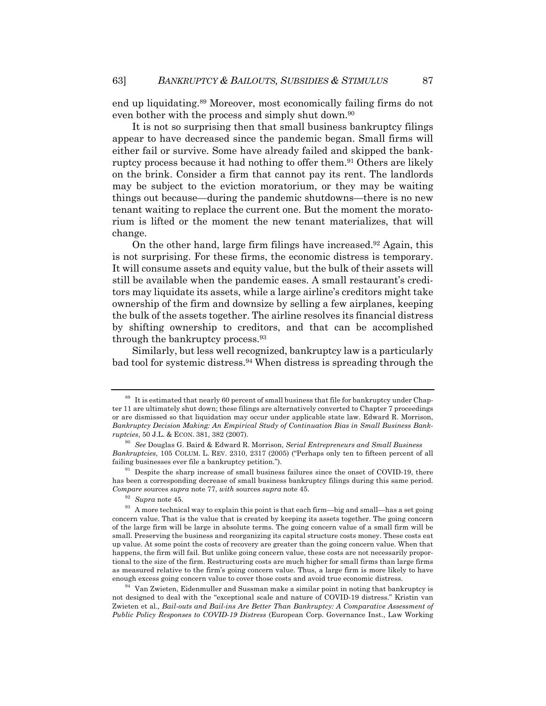end up liquidating.89 Moreover, most economically failing firms do not even bother with the process and simply shut down.<sup>90</sup>

It is not so surprising then that small business bankruptcy filings appear to have decreased since the pandemic began. Small firms will either fail or survive. Some have already failed and skipped the bankruptcy process because it had nothing to offer them.91 Others are likely on the brink. Consider a firm that cannot pay its rent. The landlords may be subject to the eviction moratorium, or they may be waiting things out because—during the pandemic shutdowns—there is no new tenant waiting to replace the current one. But the moment the moratorium is lifted or the moment the new tenant materializes, that will change.

On the other hand, large firm filings have increased.92 Again, this is not surprising. For these firms, the economic distress is temporary. It will consume assets and equity value, but the bulk of their assets will still be available when the pandemic eases. A small restaurant's creditors may liquidate its assets, while a large airline's creditors might take ownership of the firm and downsize by selling a few airplanes, keeping the bulk of the assets together. The airline resolves its financial distress by shifting ownership to creditors, and that can be accomplished through the bankruptcy process.93

Similarly, but less well recognized, bankruptcy law is a particularly bad tool for systemic distress.94 When distress is spreading through the

<sup>&</sup>lt;sup>89</sup> It is estimated that nearly 60 percent of small business that file for bankruptcy under Chapter 11 are ultimately shut down; these filings are alternatively converted to Chapter 7 proceedings or are dismissed so that liquidation may occur under applicable state law. Edward R. Morrison, *Bankruptcy Decision Making: An Empirical Study of Continuation Bias in Small Business Bankruptcies*, 50 J.L. & ECON. 381, 382 (2007).

<sup>90</sup> *See* Douglas G. Baird & Edward R. Morrison, *Serial Entrepreneurs and Small Business Bankruptcies*, 105 COLUM. L. REV. 2310, 2317 (2005) ("Perhaps only ten to fifteen percent of all failing businesses ever file a bankruptcy petition.").

 $91$  Despite the sharp increase of small business failures since the onset of COVID-19, there has been a corresponding decrease of small business bankruptcy filings during this same period. *Compare* sources *supra* note 77, *with* sources *supra* note 45.

<sup>92</sup> *Supra* note 45.

 $93$  A more technical way to explain this point is that each firm—big and small—has a set going concern value. That is the value that is created by keeping its assets together. The going concern of the large firm will be large in absolute terms. The going concern value of a small firm will be small. Preserving the business and reorganizing its capital structure costs money. These costs eat up value. At some point the costs of recovery are greater than the going concern value. When that happens, the firm will fail. But unlike going concern value, these costs are not necessarily proportional to the size of the firm. Restructuring costs are much higher for small firms than large firms as measured relative to the firm's going concern value. Thus, a large firm is more likely to have enough excess going concern value to cover those costs and avoid true economic distress.

<sup>94</sup> Van Zwieten, Eidenmuller and Sussman make a similar point in noting that bankruptcy is not designed to deal with the "exceptional scale and nature of COVID-19 distress." Kristin van Zwieten et al*., Bail-outs and Bail-ins Are Better Than Bankruptcy: A Comparative Assessment of Public Policy Responses to COVID-19 Distress* (European Corp. Governance Inst., Law Working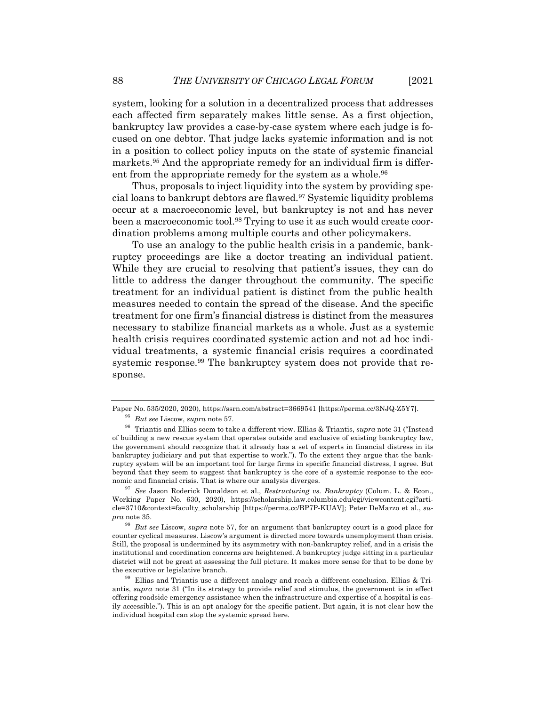system, looking for a solution in a decentralized process that addresses each affected firm separately makes little sense. As a first objection, bankruptcy law provides a case-by-case system where each judge is focused on one debtor. That judge lacks systemic information and is not in a position to collect policy inputs on the state of systemic financial markets.95 And the appropriate remedy for an individual firm is different from the appropriate remedy for the system as a whole.<sup>96</sup>

Thus, proposals to inject liquidity into the system by providing special loans to bankrupt debtors are flawed.97 Systemic liquidity problems occur at a macroeconomic level, but bankruptcy is not and has never been a macroeconomic tool.98 Trying to use it as such would create coordination problems among multiple courts and other policymakers.

To use an analogy to the public health crisis in a pandemic, bankruptcy proceedings are like a doctor treating an individual patient. While they are crucial to resolving that patient's issues, they can do little to address the danger throughout the community. The specific treatment for an individual patient is distinct from the public health measures needed to contain the spread of the disease. And the specific treatment for one firm's financial distress is distinct from the measures necessary to stabilize financial markets as a whole. Just as a systemic health crisis requires coordinated systemic action and not ad hoc individual treatments, a systemic financial crisis requires a coordinated systemic response.99 The bankruptcy system does not provide that response.

Paper No. 535/2020, 2020), https://ssrn.com/abstract=3669541 [https://perma.cc/3NJQ-Z5Y7]. <sup>95</sup> *But see* Liscow, *supra* note 57.

<sup>96</sup> Triantis and Ellias seem to take a different view. Ellias & Triantis, *supra* note 31 ("Instead of building a new rescue system that operates outside and exclusive of existing bankruptcy law, the government should recognize that it already has a set of experts in financial distress in its bankruptcy judiciary and put that expertise to work."). To the extent they argue that the bankruptcy system will be an important tool for large firms in specific financial distress, I agree. But beyond that they seem to suggest that bankruptcy is the core of a systemic response to the economic and financial crisis. That is where our analysis diverges.

<sup>97</sup> *See* Jason Roderick Donaldson et al., *Restructuring vs. Bankruptcy* (Colum. L. & Econ., Working Paper No. 630, 2020), https://scholarship.law.columbia.edu/cgi/viewcontent.cgi?article=3710&context=faculty\_scholarship [https://perma.cc/BP7P-KUAV]; Peter DeMarzo et al., *supra* note 35.

<sup>98</sup> *But see* Liscow, *supra* note 57, for an argument that bankruptcy court is a good place for counter cyclical measures. Liscow's argument is directed more towards unemployment than crisis. Still, the proposal is undermined by its asymmetry with non-bankruptcy relief, and in a crisis the institutional and coordination concerns are heightened. A bankruptcy judge sitting in a particular district will not be great at assessing the full picture. It makes more sense for that to be done by the executive or legislative branch.

<sup>99</sup> Ellias and Triantis use a different analogy and reach a different conclusion. Ellias & Triantis, *supra* note 31 ("In its strategy to provide relief and stimulus, the government is in effect offering roadside emergency assistance when the infrastructure and expertise of a hospital is easily accessible."). This is an apt analogy for the specific patient. But again, it is not clear how the individual hospital can stop the systemic spread here.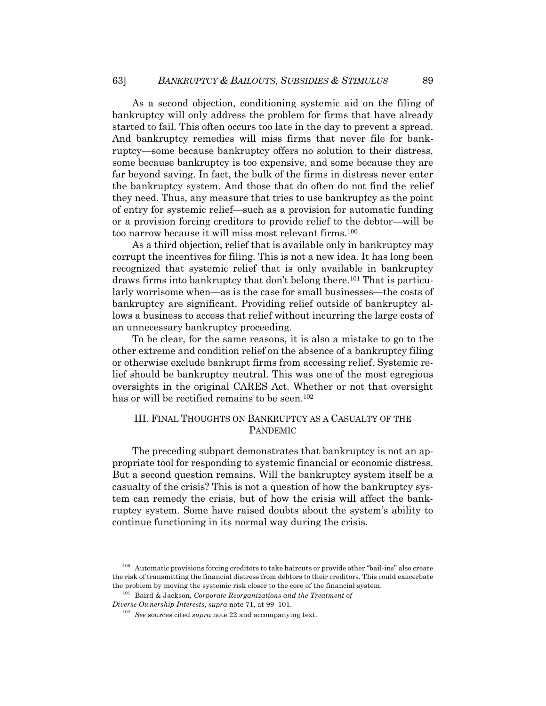As a second objection, conditioning systemic aid on the filing of bankruptcy will only address the problem for firms that have already started to fail. This often occurs too late in the day to prevent a spread. And bankruptcy remedies will miss firms that never file for bankruptcy—some because bankruptcy offers no solution to their distress, some because bankruptcy is too expensive, and some because they are far beyond saving. In fact, the bulk of the firms in distress never enter the bankruptcy system. And those that do often do not find the relief they need. Thus, any measure that tries to use bankruptcy as the point of entry for systemic relief—such as a provision for automatic funding or a provision forcing creditors to provide relief to the debtor—will be too narrow because it will miss most relevant firms.100

As a third objection, relief that is available only in bankruptcy may corrupt the incentives for filing. This is not a new idea. It has long been recognized that systemic relief that is only available in bankruptcy draws firms into bankruptcy that don't belong there.101 That is particularly worrisome when—as is the case for small businesses—the costs of bankruptcy are significant. Providing relief outside of bankruptcy allows a business to access that relief without incurring the large costs of an unnecessary bankruptcy proceeding.

To be clear, for the same reasons, it is also a mistake to go to the other extreme and condition relief on the absence of a bankruptcy filing or otherwise exclude bankrupt firms from accessing relief. Systemic relief should be bankruptcy neutral. This was one of the most egregious oversights in the original CARES Act. Whether or not that oversight has or will be rectified remains to be seen.<sup>102</sup>

### III. FINAL THOUGHTS ON BANKRUPTCY AS A CASUALTY OF THE PANDEMIC

The preceding subpart demonstrates that bankruptcy is not an appropriate tool for responding to systemic financial or economic distress. But a second question remains. Will the bankruptcy system itself be a casualty of the crisis? This is not a question of how the bankruptcy system can remedy the crisis, but of how the crisis will affect the bankruptcy system. Some have raised doubts about the system's ability to continue functioning in its normal way during the crisis.

<sup>100</sup> Automatic provisions forcing creditors to take haircuts or provide other "bail-ins" also create the risk of transmitting the financial distress from debtors to their creditors. This could exacerbate the problem by moving the systemic risk closer to the core of the financial system.

<sup>101</sup> Baird & Jackson, *Corporate Reorganizations and the Treatment of Diverse Ownership Interests*, *supra* note 71, at 99–101.

<sup>102</sup> *See* sources cited *supra* note 22 and accompanying text.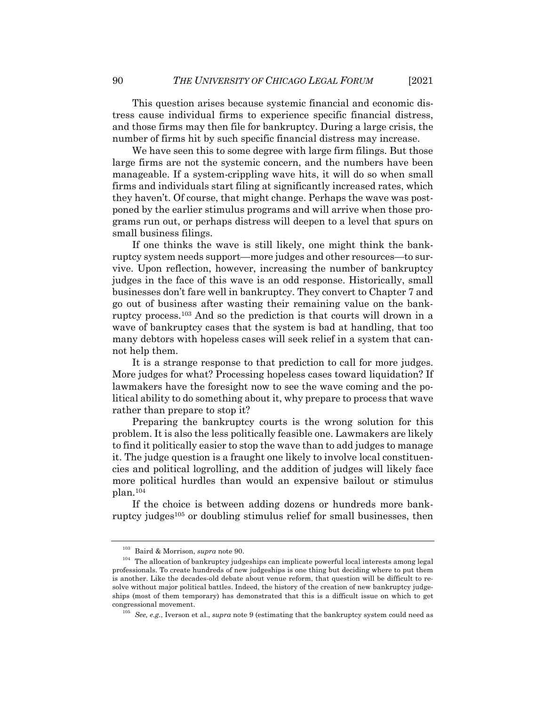This question arises because systemic financial and economic distress cause individual firms to experience specific financial distress, and those firms may then file for bankruptcy. During a large crisis, the number of firms hit by such specific financial distress may increase.

We have seen this to some degree with large firm filings. But those large firms are not the systemic concern, and the numbers have been manageable. If a system-crippling wave hits, it will do so when small firms and individuals start filing at significantly increased rates, which they haven't. Of course, that might change. Perhaps the wave was postponed by the earlier stimulus programs and will arrive when those programs run out, or perhaps distress will deepen to a level that spurs on small business filings.

If one thinks the wave is still likely, one might think the bankruptcy system needs support—more judges and other resources—to survive. Upon reflection, however, increasing the number of bankruptcy judges in the face of this wave is an odd response. Historically, small businesses don't fare well in bankruptcy. They convert to Chapter 7 and go out of business after wasting their remaining value on the bankruptcy process.103 And so the prediction is that courts will drown in a wave of bankruptcy cases that the system is bad at handling, that too many debtors with hopeless cases will seek relief in a system that cannot help them.

It is a strange response to that prediction to call for more judges. More judges for what? Processing hopeless cases toward liquidation? If lawmakers have the foresight now to see the wave coming and the political ability to do something about it, why prepare to process that wave rather than prepare to stop it?

Preparing the bankruptcy courts is the wrong solution for this problem. It is also the less politically feasible one. Lawmakers are likely to find it politically easier to stop the wave than to add judges to manage it. The judge question is a fraught one likely to involve local constituencies and political logrolling, and the addition of judges will likely face more political hurdles than would an expensive bailout or stimulus plan.104

If the choice is between adding dozens or hundreds more bankruptcy judges<sup>105</sup> or doubling stimulus relief for small businesses, then

<sup>103</sup> Baird & Morrison, *supra* note 90.

 $^{104}\,$  The allocation of bankruptcy judgeships can implicate powerful local interests among legal professionals. To create hundreds of new judgeships is one thing but deciding where to put them is another. Like the decades-old debate about venue reform, that question will be difficult to resolve without major political battles. Indeed, the history of the creation of new bankruptcy judgeships (most of them temporary) has demonstrated that this is a difficult issue on which to get congressional movement.

<sup>105</sup> *See, e.g.*, Iverson et al., *supra* note 9 (estimating that the bankruptcy system could need as